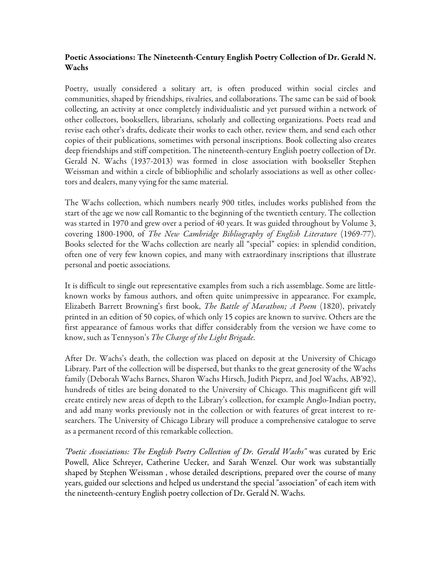# Poetic Associations: The Nineteenth-Century English Poetry Collection of Dr. Gerald N. Wachs

Poetry, usually considered a solitary art, is often produced within social circles and communities, shaped by friendships, rivalries, and collaborations. The same can be said of book collecting, an activity at once completely individualistic and yet pursued within a network of other collectors, booksellers, librarians, scholarly and collecting organizations. Poets read and revise each other's drafts, dedicate their works to each other, review them, and send each other copies of their publications, sometimes with personal inscriptions. Book collecting also creates deep friendships and stiff competition. The nineteenth-century English poetry collection of Dr. Gerald N. Wachs (1937-2013) was formed in close association with bookseller Stephen Weissman and within a circle of bibliophilic and scholarly associations as well as other collectors and dealers, many vying for the same material.

The Wachs collection, which numbers nearly 900 titles, includes works published from the start of the age we now call Romantic to the beginning of the twentieth century. The collection was started in 1970 and grew over a period of 40 years. It was guided throughout by Volume 3, covering 1800-1900, of *The New Cambridge Bibliography of English Literature* (1969-77). Books selected for the Wachs collection are nearly all "special" copies: in splendid condition, often one of very few known copies, and many with extraordinary inscriptions that illustrate personal and poetic associations.

It is difficult to single out representative examples from such a rich assemblage. Some are littleknown works by famous authors, and often quite unimpressive in appearance. For example, Elizabeth Barrett Browning's first book, *The Battle of Marathon; A Poem* (1820), privately printed in an edition of 50 copies, of which only 15 copies are known to survive. Others are the first appearance of famous works that differ considerably from the version we have come to know, such as Tennyson's *The Charge of the Light Brigade*.

After Dr. Wachs's death, the collection was placed on deposit at the University of Chicago Library. Part of the collection will be dispersed, but thanks to the great generosity of the Wachs family (Deborah Wachs Barnes, Sharon Wachs Hirsch, Judith Pieprz, and Joel Wachs, AB'92), hundreds of titles are being donated to the University of Chicago. This magnificent gift will create entirely new areas of depth to the Library's collection, for example Anglo-Indian poetry, and add many works previously not in the collection or with features of great interest to researchers. The University of Chicago Library will produce a comprehensive catalogue to serve as a permanent record of this remarkable collection.

*"Poetic Associations: The English Poetry Collection of Dr. Gerald Wachs"* was curated by Eric Powell, Alice Schreyer, Catherine Uecker, and Sarah Wenzel. Our work was substantially shaped by Stephen Weissman , whose detailed descriptions, prepared over the course of many years, guided our selections and helped us understand the special "association" of each item with the nineteenth-century English poetry collection of Dr. Gerald N. Wachs.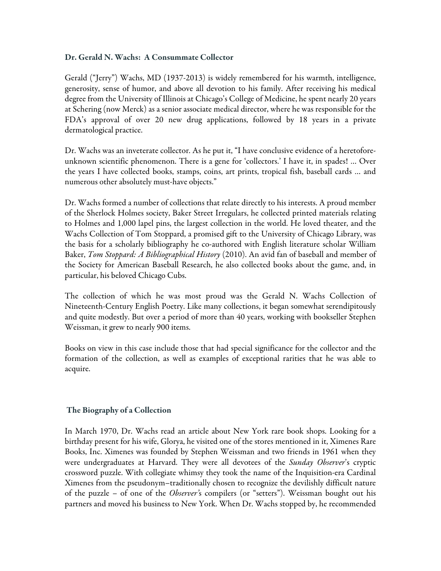## Dr. Gerald N. Wachs: A Consummate Collector

Gerald ("Jerry") Wachs, MD (1937-2013) is widely remembered for his warmth, intelligence, generosity, sense of humor, and above all devotion to his family. After receiving his medical degree from the University of Illinois at Chicago's College of Medicine, he spent nearly 20 years at Schering (now Merck) as a senior associate medical director, where he was responsible for the FDA's approval of over 20 new drug applications, followed by 18 years in a private dermatological practice.

Dr. Wachs was an inveterate collector. As he put it, "I have conclusive evidence of a heretoforeunknown scientific phenomenon. There is a gene for 'collectors.' I have it, in spades! … Over the years I have collected books, stamps, coins, art prints, tropical fish, baseball cards … and numerous other absolutely must-have objects."

Dr. Wachs formed a number of collections that relate directly to his interests. A proud member of the Sherlock Holmes society, Baker Street Irregulars, he collected printed materials relating to Holmes and 1,000 lapel pins, the largest collection in the world. He loved theater, and the Wachs Collection of Tom Stoppard, a promised gift to the University of Chicago Library, was the basis for a scholarly bibliography he co-authored with English literature scholar William Baker, *Tom Stoppard: A Bibliographical History* (2010). An avid fan of baseball and member of the Society for American Baseball Research, he also collected books about the game, and, in particular, his beloved Chicago Cubs.

The collection of which he was most proud was the Gerald N. Wachs Collection of Nineteenth-Century English Poetry. Like many collections, it began somewhat serendipitously and quite modestly. But over a period of more than 40 years, working with bookseller Stephen Weissman, it grew to nearly 900 items.

Books on view in this case include those that had special significance for the collector and the formation of the collection, as well as examples of exceptional rarities that he was able to acquire.

# The Biography of a Collection

In March 1970, Dr. Wachs read an article about New York rare book shops. Looking for a birthday present for his wife, Glorya, he visited one of the stores mentioned in it, Ximenes Rare Books, Inc. Ximenes was founded by Stephen Weissman and two friends in 1961 when they were undergraduates at Harvard. They were all devotees of the *Sunday Observer*'s cryptic crossword puzzle. With collegiate whimsy they took the name of the Inquisition-era Cardinal Ximenes from the pseudonym–traditionally chosen to recognize the devilishly difficult nature of the puzzle – of one of the *Observer'*s compilers (or "setters"). Weissman bought out his partners and moved his business to New York. When Dr. Wachs stopped by, he recommended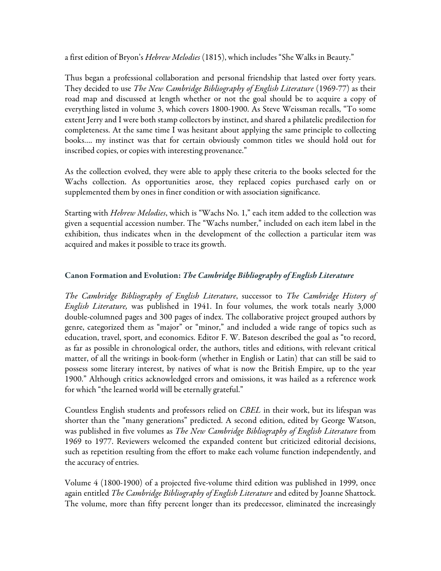a first edition of Bryon's *Hebrew Melodies* (1815), which includes "She Walks in Beauty."

Thus began a professional collaboration and personal friendship that lasted over forty years. They decided to use *The New Cambridge Bibliography of English Literature* (1969-77) as their road map and discussed at length whether or not the goal should be to acquire a copy of everything listed in volume 3, which covers 1800-1900. As Steve Weissman recalls, "To some extent Jerry and I were both stamp collectors by instinct, and shared a philatelic predilection for completeness. At the same time I was hesitant about applying the same principle to collecting books…. my instinct was that for certain obviously common titles we should hold out for inscribed copies, or copies with interesting provenance."

As the collection evolved, they were able to apply these criteria to the books selected for the Wachs collection. As opportunities arose, they replaced copies purchased early on or supplemented them by ones in finer condition or with association significance.

Starting with *Hebrew Melodies*, which is "Wachs No. 1," each item added to the collection was given a sequential accession number. The "Wachs number," included on each item label in the exhibition, thus indicates when in the development of the collection a particular item was acquired and makes it possible to trace its growth.

# Canon Formation and Evolution: *The Cambridge Bibliography of English Literature*

*The Cambridge Bibliography of English Literature*, successor to *The Cambridge History of English Literature,* was published in 1941. In four volumes, the work totals nearly 3,000 double-columned pages and 300 pages of index. The collaborative project grouped authors by genre, categorized them as "major" or "minor," and included a wide range of topics such as education, travel, sport, and economics. Editor F. W. Bateson described the goal as "to record, as far as possible in chronological order, the authors, titles and editions, with relevant critical matter, of all the writings in book-form (whether in English or Latin) that can still be said to possess some literary interest, by natives of what is now the British Empire, up to the year 1900." Although critics acknowledged errors and omissions, it was hailed as a reference work for which "the learned world will be eternally grateful."

Countless English students and professors relied on *CBEL* in their work, but its lifespan was shorter than the "many generations" predicted. A second edition, edited by George Watson, was published in five volumes as *The New Cambridge Bibliography of English Literature* from 1969 to 1977. Reviewers welcomed the expanded content but criticized editorial decisions, such as repetition resulting from the effort to make each volume function independently, and the accuracy of entries.

Volume 4 (1800-1900) of a projected five-volume third edition was published in 1999, once again entitled *The Cambridge Bibliography of English Literature* and edited by Joanne Shattock. The volume, more than fifty percent longer than its predecessor, eliminated the increasingly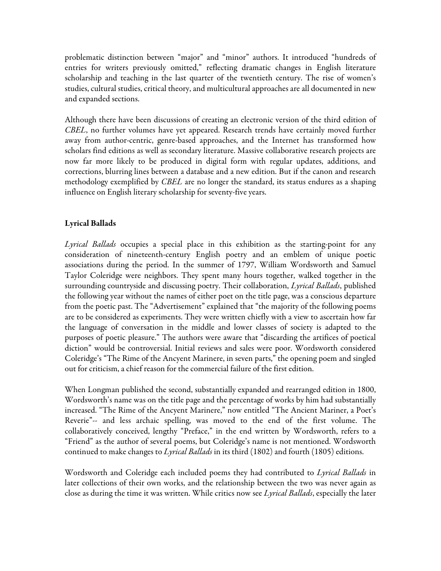problematic distinction between "major" and "minor" authors. It introduced "hundreds of entries for writers previously omitted," reflecting dramatic changes in English literature scholarship and teaching in the last quarter of the twentieth century. The rise of women's studies, cultural studies, critical theory, and multicultural approaches are all documented in new and expanded sections.

Although there have been discussions of creating an electronic version of the third edition of *CBEL*, no further volumes have yet appeared. Research trends have certainly moved further away from author-centric, genre-based approaches, and the Internet has transformed how scholars find editions as well as secondary literature. Massive collaborative research projects are now far more likely to be produced in digital form with regular updates, additions, and corrections, blurring lines between a database and a new edition. But if the canon and research methodology exemplified by *CBEL* are no longer the standard, its status endures as a shaping influence on English literary scholarship for seventy-five years.

## Lyrical Ballads

*Lyrical Ballads* occupies a special place in this exhibition as the starting-point for any consideration of nineteenth-century English poetry and an emblem of unique poetic associations during the period. In the summer of 1797, William Wordsworth and Samuel Taylor Coleridge were neighbors. They spent many hours together, walked together in the surrounding countryside and discussing poetry. Their collaboration, *Lyrical Ballads*, published the following year without the names of either poet on the title page, was a conscious departure from the poetic past. The "Advertisement" explained that "the majority of the following poems are to be considered as experiments. They were written chiefly with a view to ascertain how far the language of conversation in the middle and lower classes of society is adapted to the purposes of poetic pleasure." The authors were aware that "discarding the artifices of poetical diction" would be controversial. Initial reviews and sales were poor. Wordsworth considered Coleridge's "The Rime of the Ancyent Marinere, in seven parts," the opening poem and singled out for criticism, a chief reason for the commercial failure of the first edition.

When Longman published the second, substantially expanded and rearranged edition in 1800, Wordsworth's name was on the title page and the percentage of works by him had substantially increased. "The Rime of the Ancyent Marinere," now entitled "The Ancient Mariner, a Poet's Reverie"-- and less archaic spelling, was moved to the end of the first volume. The collaboratively conceived, lengthy "Preface," in the end written by Wordsworth, refers to a "Friend" as the author of several poems, but Coleridge's name is not mentioned. Wordsworth continued to make changes to *Lyrical Ballads* in its third (1802) and fourth (1805) editions.

Wordsworth and Coleridge each included poems they had contributed to *Lyrical Ballads* in later collections of their own works, and the relationship between the two was never again as close as during the time it was written. While critics now see *Lyrical Ballads*, especially the later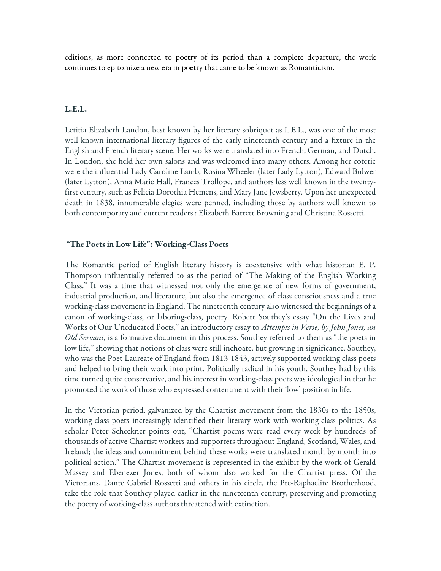editions, as more connected to poetry of its period than a complete departure, the work continues to epitomize a new era in poetry that came to be known as Romanticism.

#### L.E.L.

Letitia Elizabeth Landon, best known by her literary sobriquet as L.E.L., was one of the most well known international literary figures of the early nineteenth century and a fixture in the English and French literary scene. Her works were translated into French, German, and Dutch. In London, she held her own salons and was welcomed into many others. Among her coterie were the influential Lady Caroline Lamb, Rosina Wheeler (later Lady Lytton), Edward Bulwer (later Lytton), Anna Marie Hall, Frances Trollope, and authors less well known in the twentyfirst century, such as Felicia Dorothia Hemens, and Mary Jane Jewsberry. Upon her unexpected death in 1838, innumerable elegies were penned, including those by authors well known to both contemporary and current readers : Elizabeth Barrett Browning and Christina Rossetti.

#### "The Poets in Low Life": Working-Class Poets

The Romantic period of English literary history is coextensive with what historian E. P. Thompson influentially referred to as the period of "The Making of the English Working Class." It was a time that witnessed not only the emergence of new forms of government, industrial production, and literature, but also the emergence of class consciousness and a true working-class movement in England. The nineteenth century also witnessed the beginnings of a canon of working-class, or laboring-class, poetry. Robert Southey's essay "On the Lives and Works of Our Uneducated Poets," an introductory essay to *Attempts in Verse, by John Jones, an Old Servant*, is a formative document in this process. Southey referred to them as "the poets in low life," showing that notions of class were still inchoate, but growing in significance. Southey, who was the Poet Laureate of England from 1813-1843, actively supported working class poets and helped to bring their work into print. Politically radical in his youth, Southey had by this time turned quite conservative, and his interest in working-class poets was ideological in that he promoted the work of those who expressed contentment with their 'low' position in life.

In the Victorian period, galvanized by the Chartist movement from the 1830s to the 1850s, working-class poets increasingly identified their literary work with working-class politics. As scholar Peter Scheckner points out, "Chartist poems were read every week by hundreds of thousands of active Chartist workers and supporters throughout England, Scotland, Wales, and Ireland; the ideas and commitment behind these works were translated month by month into political action." The Chartist movement is represented in the exhibit by the work of Gerald Massey and Ebenezer Jones, both of whom also worked for the Chartist press. Of the Victorians, Dante Gabriel Rossetti and others in his circle, the Pre-Raphaelite Brotherhood, take the role that Southey played earlier in the nineteenth century, preserving and promoting the poetry of working-class authors threatened with extinction.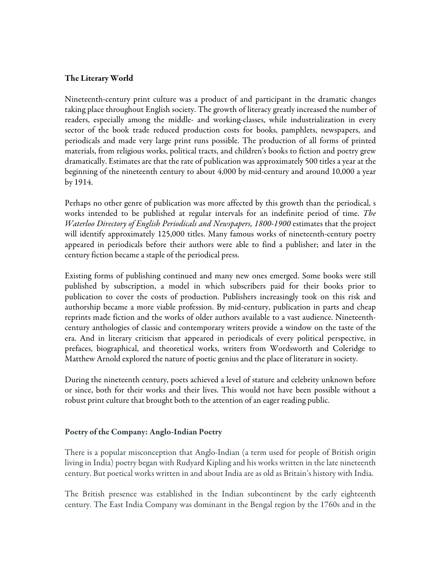#### The Literary World

Nineteenth-century print culture was a product of and participant in the dramatic changes taking place throughout English society. The growth of literacy greatly increased the number of readers, especially among the middle- and working-classes, while industrialization in every sector of the book trade reduced production costs for books, pamphlets, newspapers, and periodicals and made very large print runs possible. The production of all forms of printed materials, from religious works, political tracts, and children's books to fiction and poetry grew dramatically. Estimates are that the rate of publication was approximately 500 titles a year at the beginning of the nineteenth century to about 4,000 by mid-century and around 10,000 a year by 1914.

Perhaps no other genre of publication was more affected by this growth than the periodical, s works intended to be published at regular intervals for an indefinite period of time. *The Waterloo Directory of English Periodicals and Newspapers, 1800-1900* estimates that the project will identify approximately 125,000 titles. Many famous works of nineteenth-century poetry appeared in periodicals before their authors were able to find a publisher; and later in the century fiction became a staple of the periodical press.

Existing forms of publishing continued and many new ones emerged. Some books were still published by subscription, a model in which subscribers paid for their books prior to publication to cover the costs of production. Publishers increasingly took on this risk and authorship became a more viable profession. By mid-century, publication in parts and cheap reprints made fiction and the works of older authors available to a vast audience. Nineteenthcentury anthologies of classic and contemporary writers provide a window on the taste of the era. And in literary criticism that appeared in periodicals of every political perspective, in prefaces, biographical, and theoretical works, writers from Wordsworth and Coleridge to Matthew Arnold explored the nature of poetic genius and the place of literature in society.

During the nineteenth century, poets achieved a level of stature and celebrity unknown before or since, both for their works and their lives. This would not have been possible without a robust print culture that brought both to the attention of an eager reading public.

#### Poetry of the Company: Anglo-Indian Poetry

There is a popular misconception that Anglo-Indian (a term used for people of British origin living in India) poetry began with Rudyard Kipling and his works written in the late nineteenth century. But poetical works written in and about India are as old as Britain's history with India.

The British presence was established in the Indian subcontinent by the early eighteenth century. The East India Company was dominant in the Bengal region by the 1760s and in the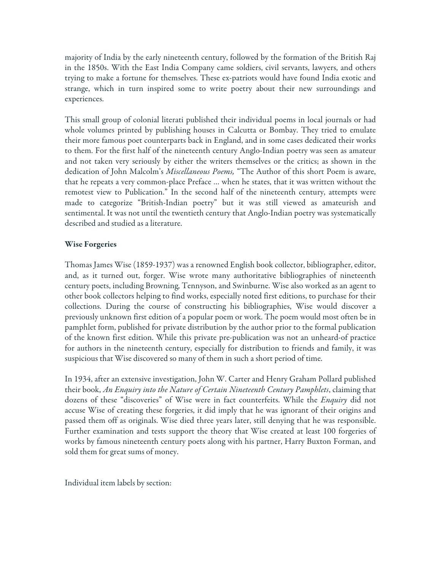majority of India by the early nineteenth century, followed by the formation of the British Raj in the 1850s. With the East India Company came soldiers, civil servants, lawyers, and others trying to make a fortune for themselves. These ex-patriots would have found India exotic and strange, which in turn inspired some to write poetry about their new surroundings and experiences.

This small group of colonial literati published their individual poems in local journals or had whole volumes printed by publishing houses in Calcutta or Bombay. They tried to emulate their more famous poet counterparts back in England, and in some cases dedicated their works to them. For the first half of the nineteenth century Anglo-Indian poetry was seen as amateur and not taken very seriously by either the writers themselves or the critics; as shown in the dedication of John Malcolm's *Miscellaneous Poems,* "The Author of this short Poem is aware, that he repeats a very common-place Preface … when he states, that it was written without the remotest view to Publication." In the second half of the nineteenth century, attempts were made to categorize "British-Indian poetry" but it was still viewed as amateurish and sentimental. It was not until the twentieth century that Anglo-Indian poetry was systematically described and studied as a literature.

## Wise Forgeries

Thomas James Wise (1859-1937) was a renowned English book collector, bibliographer, editor, and, as it turned out, forger. Wise wrote many authoritative bibliographies of nineteenth century poets, including Browning, Tennyson, and Swinburne. Wise also worked as an agent to other book collectors helping to find works, especially noted first editions, to purchase for their collections. During the course of constructing his bibliographies, Wise would discover a previously unknown first edition of a popular poem or work. The poem would most often be in pamphlet form, published for private distribution by the author prior to the formal publication of the known first edition. While this private pre-publication was not an unheard-of practice for authors in the nineteenth century, especially for distribution to friends and family, it was suspicious that Wise discovered so many of them in such a short period of time.

In 1934, after an extensive investigation, John W. Carter and Henry Graham Pollard published their book, *An Enquiry into the Nature of Certain Nineteenth Century Pamphlets*, claiming that dozens of these "discoveries" of Wise were in fact counterfeits. While the *Enquiry* did not accuse Wise of creating these forgeries, it did imply that he was ignorant of their origins and passed them off as originals. Wise died three years later, still denying that he was responsible. Further examination and tests support the theory that Wise created at least 100 forgeries of works by famous nineteenth century poets along with his partner, Harry Buxton Forman, and sold them for great sums of money.

Individual item labels by section: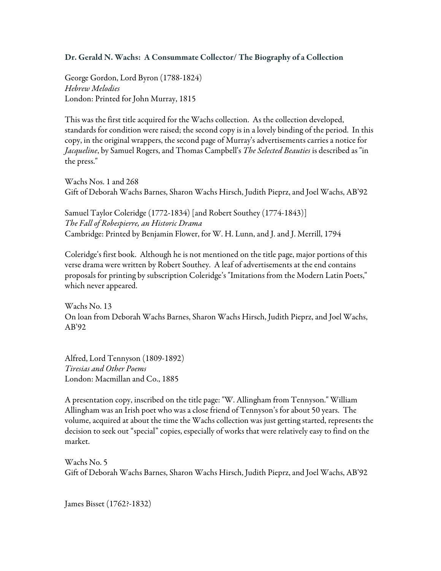## Dr. Gerald N. Wachs: A Consummate Collector/ The Biography of a Collection

George Gordon, Lord Byron (1788-1824) *Hebrew Melodies* London: Printed for John Murray, 1815

This was the first title acquired for the Wachs collection. As the collection developed, standards for condition were raised; the second copy is in a lovely binding of the period. In this copy, in the original wrappers, the second page of Murray's advertisements carries a notice for *Jacqueline*, by Samuel Rogers, and Thomas Campbell's *The Selected Beauties* is described as "in the press."

Wachs Nos. 1 and 268 Gift of Deborah Wachs Barnes, Sharon Wachs Hirsch, Judith Pieprz, and Joel Wachs, AB'92

Samuel Taylor Coleridge (1772-1834) [and Robert Southey (1774-1843)] *The Fall of Robespierre, an Historic Drama* Cambridge: Printed by Benjamin Flower, for W. H. Lunn, and J. and J. Merrill, 1794

Coleridge's first book. Although he is not mentioned on the title page, major portions of this verse drama were written by Robert Southey. A leaf of advertisements at the end contains proposals for printing by subscription Coleridge's "Imitations from the Modern Latin Poets," which never appeared.

Wachs No. 13 On loan from Deborah Wachs Barnes, Sharon Wachs Hirsch, Judith Pieprz, and Joel Wachs, AB'92

Alfred, Lord Tennyson (1809-1892) *Tiresias and Other Poems* London: Macmillan and Co., 1885

A presentation copy, inscribed on the title page: "W. Allingham from Tennyson." William Allingham was an Irish poet who was a close friend of Tennyson's for about 50 years. The volume, acquired at about the time the Wachs collection was just getting started, represents the decision to seek out "special" copies, especially of works that were relatively easy to find on the market.

Wachs No. 5 Gift of Deborah Wachs Barnes, Sharon Wachs Hirsch, Judith Pieprz, and Joel Wachs, AB'92

James Bisset (1762?-1832)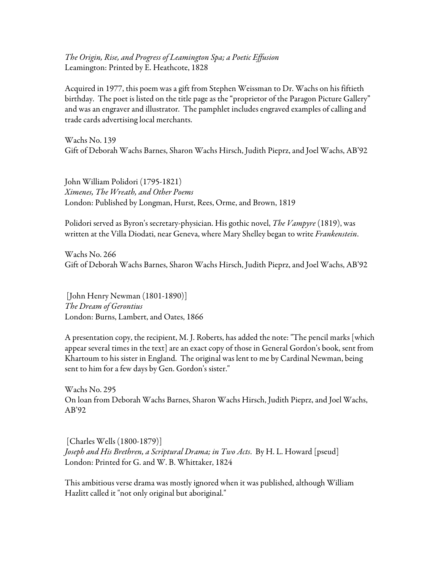*The Origin, Rise, and Progress of Leamington Spa; a Poetic Effusion* Leamington: Printed by E. Heathcote, 1828

Acquired in 1977, this poem was a gift from Stephen Weissman to Dr. Wachs on his fiftieth birthday. The poet is listed on the title page as the "proprietor of the Paragon Picture Gallery" and was an engraver and illustrator. The pamphlet includes engraved examples of calling and trade cards advertising local merchants.

Wachs No. 139 Gift of Deborah Wachs Barnes, Sharon Wachs Hirsch, Judith Pieprz, and Joel Wachs, AB'92

John William Polidori (1795-1821) *Ximenes, The Wreath, and Other Poems* London: Published by Longman, Hurst, Rees, Orme, and Brown, 1819

Polidori served as Byron's secretary-physician. His gothic novel, *The Vampyre* (1819), was written at the Villa Diodati, near Geneva, where Mary Shelley began to write *Frankenstein*.

Wachs No. 266 Gift of Deborah Wachs Barnes, Sharon Wachs Hirsch, Judith Pieprz, and Joel Wachs, AB'92

 [John Henry Newman (1801-1890)] *The Dream of Gerontius* London: Burns, Lambert, and Oates, 1866

A presentation copy, the recipient, M. J. Roberts, has added the note: "The pencil marks [which appear several times in the text] are an exact copy of those in General Gordon's book, sent from Khartoum to his sister in England. The original was lent to me by Cardinal Newman, being sent to him for a few days by Gen. Gordon's sister."

Wachs No. 295 On loan from Deborah Wachs Barnes, Sharon Wachs Hirsch, Judith Pieprz, and Joel Wachs, AB'92

 [Charles Wells (1800-1879)] *Joseph and His Brethren, a Scriptural Drama; in Two Acts*. By H. L. Howard [pseud] London: Printed for G. and W. B. Whittaker, 1824

This ambitious verse drama was mostly ignored when it was published, although William Hazlitt called it "not only original but aboriginal."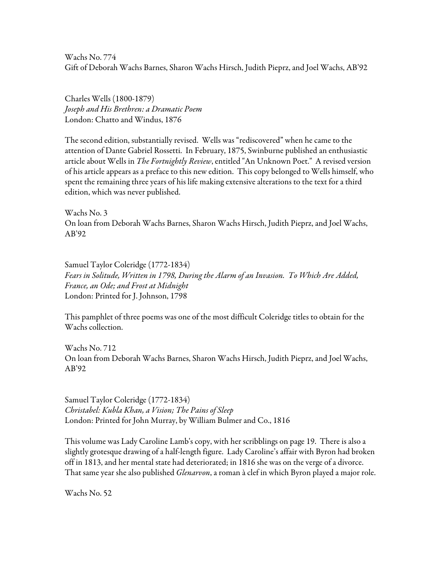Wachs No. 774 Gift of Deborah Wachs Barnes, Sharon Wachs Hirsch, Judith Pieprz, and Joel Wachs, AB'92

Charles Wells (1800-1879) *Joseph and His Brethren: a Dramatic Poem* London: Chatto and Windus, 1876

The second edition, substantially revised. Wells was "rediscovered" when he came to the attention of Dante Gabriel Rossetti. In February, 1875, Swinburne published an enthusiastic article about Wells in *The Fortnightly Review*, entitled "An Unknown Poet." A revised version of his article appears as a preface to this new edition. This copy belonged to Wells himself, who spent the remaining three years of his life making extensive alterations to the text for a third edition, which was never published.

Wachs No. 3 On loan from Deborah Wachs Barnes, Sharon Wachs Hirsch, Judith Pieprz, and Joel Wachs, AB'92

Samuel Taylor Coleridge (1772-1834) *Fears in Solitude, Written in 1798, During the Alarm of an Invasion. To Which Are Added, France, an Ode; and Frost at Midnight* London: Printed for J. Johnson, 1798

This pamphlet of three poems was one of the most difficult Coleridge titles to obtain for the Wachs collection.

Wachs No. 712 On loan from Deborah Wachs Barnes, Sharon Wachs Hirsch, Judith Pieprz, and Joel Wachs, AB'92

Samuel Taylor Coleridge (1772-1834) *Christabel: Kubla Khan, a Vision; The Pains of Sleep* London: Printed for John Murray, by William Bulmer and Co., 1816

This volume was Lady Caroline Lamb's copy, with her scribblings on page 19. There is also a slightly grotesque drawing of a half-length figure. Lady Caroline's affair with Byron had broken off in 1813, and her mental state had deteriorated; in 1816 she was on the verge of a divorce. That same year she also published *Glenarvon*, a roman à clef in which Byron played a major role.

Wachs No. 52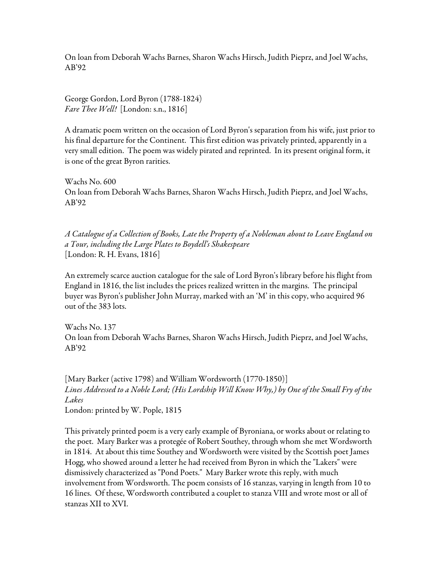On loan from Deborah Wachs Barnes, Sharon Wachs Hirsch, Judith Pieprz, and Joel Wachs, AB'92

George Gordon, Lord Byron (1788-1824) *Fare Thee Well!* [London: s.n., 1816]

A dramatic poem written on the occasion of Lord Byron's separation from his wife, just prior to his final departure for the Continent. This first edition was privately printed, apparently in a very small edition. The poem was widely pirated and reprinted. In its present original form, it is one of the great Byron rarities.

Wachs No. 600 On loan from Deborah Wachs Barnes, Sharon Wachs Hirsch, Judith Pieprz, and Joel Wachs, AB'92

*A Catalogue of a Collection of Books, Late the Property of a Nobleman about to Leave England on a Tour, including the Large Plates to Boydell's Shakespeare* [London: R. H. Evans, 1816]

An extremely scarce auction catalogue for the sale of Lord Byron's library before his flight from England in 1816, the list includes the prices realized written in the margins. The principal buyer was Byron's publisher John Murray, marked with an 'M' in this copy, who acquired 96 out of the 383 lots.

Wachs No. 137 On loan from Deborah Wachs Barnes, Sharon Wachs Hirsch, Judith Pieprz, and Joel Wachs, AB'92

[Mary Barker (active 1798) and William Wordsworth (1770-1850)] *Lines Addressed to a Noble Lord; (His Lordship Will Know Why,) by One of the Small Fry of the Lakes*

London: printed by W. Pople, 1815

This privately printed poem is a very early example of Byroniana, or works about or relating to the poet. Mary Barker was a protegée of Robert Southey, through whom she met Wordsworth in 1814. At about this time Southey and Wordsworth were visited by the Scottish poet James Hogg, who showed around a letter he had received from Byron in which the "Lakers" were dismissively characterized as "Pond Poets." Mary Barker wrote this reply, with much involvement from Wordsworth. The poem consists of 16 stanzas, varying in length from 10 to 16 lines. Of these, Wordsworth contributed a couplet to stanza VIII and wrote most or all of stanzas XII to XVI.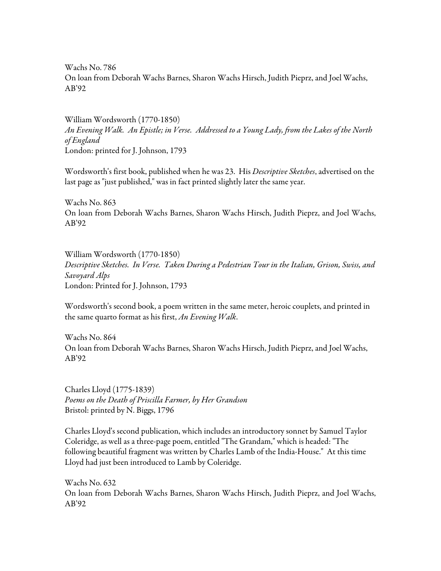Wachs No. 786 On loan from Deborah Wachs Barnes, Sharon Wachs Hirsch, Judith Pieprz, and Joel Wachs, AB'92

William Wordsworth (1770-1850) *An Evening Walk. An Epistle; in Verse. Addressed to a Young Lady, from the Lakes of the North of England* London: printed for J. Johnson, 1793

Wordsworth's first book, published when he was 23. His *Descriptive Sketches*, advertised on the last page as "just published," was in fact printed slightly later the same year.

Wachs No. 863 On loan from Deborah Wachs Barnes, Sharon Wachs Hirsch, Judith Pieprz, and Joel Wachs, AB'92

William Wordsworth (1770-1850) *Descriptive Sketches. In Verse. Taken During a Pedestrian Tour in the Italian, Grison, Swiss, and Savoyard Alps* London: Printed for J. Johnson, 1793

Wordsworth's second book, a poem written in the same meter, heroic couplets, and printed in the same quarto format as his first, *An Evening Walk*.

Wachs No. 864 On loan from Deborah Wachs Barnes, Sharon Wachs Hirsch, Judith Pieprz, and Joel Wachs, AB'92

Charles Lloyd (1775-1839) *Poems on the Death of Priscilla Farmer, by Her Grandson* Bristol: printed by N. Biggs, 1796

Charles Lloyd's second publication, which includes an introductory sonnet by Samuel Taylor Coleridge, as well as a three-page poem, entitled "The Grandam," which is headed: "The following beautiful fragment was written by Charles Lamb of the India-House." At this time Lloyd had just been introduced to Lamb by Coleridge.

Wachs No. 632 On loan from Deborah Wachs Barnes, Sharon Wachs Hirsch, Judith Pieprz, and Joel Wachs, AB'92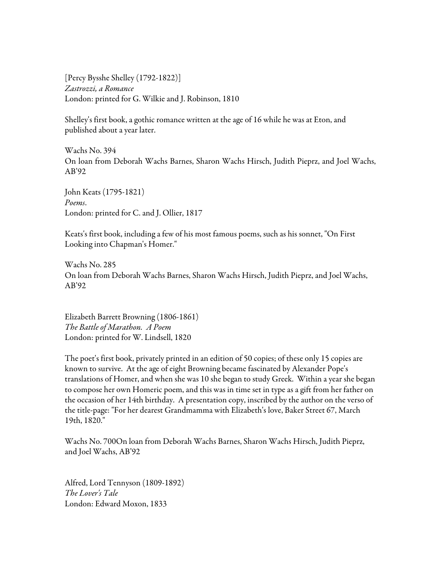[Percy Bysshe Shelley (1792-1822)] *Zastrozzi, a Romance* London: printed for G. Wilkie and J. Robinson, 1810

Shelley's first book, a gothic romance written at the age of 16 while he was at Eton, and published about a year later.

Wachs No. 394 On loan from Deborah Wachs Barnes, Sharon Wachs Hirsch, Judith Pieprz, and Joel Wachs, AB'92

John Keats (1795-1821) *Poems*. London: printed for C. and J. Ollier, 1817

Keats's first book, including a few of his most famous poems, such as his sonnet, "On First Looking into Chapman's Homer."

Wachs No. 285 On loan from Deborah Wachs Barnes, Sharon Wachs Hirsch, Judith Pieprz, and Joel Wachs, AB'92

Elizabeth Barrett Browning (1806-1861) *The Battle of Marathon. A Poem* London: printed for W. Lindsell, 1820

The poet's first book, privately printed in an edition of 50 copies; of these only 15 copies are known to survive. At the age of eight Browning became fascinated by Alexander Pope's translations of Homer, and when she was 10 she began to study Greek. Within a year she began to compose her own Homeric poem, and this was in time set in type as a gift from her father on the occasion of her 14th birthday. A presentation copy, inscribed by the author on the verso of the title-page: "For her dearest Grandmamma with Elizabeth's love, Baker Street 67, March 19th, 1820."

Wachs No. 700On loan from Deborah Wachs Barnes, Sharon Wachs Hirsch, Judith Pieprz, and Joel Wachs, AB'92

Alfred, Lord Tennyson (1809-1892) *The Lover's Tale* London: Edward Moxon, 1833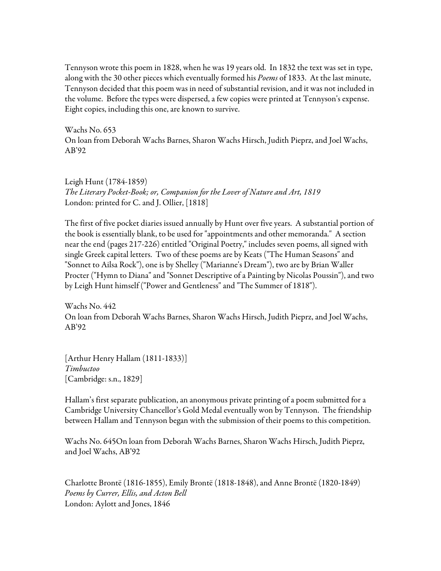Tennyson wrote this poem in 1828, when he was 19 years old. In 1832 the text was set in type, along with the 30 other pieces which eventually formed his *Poems* of 1833. At the last minute, Tennyson decided that this poem was in need of substantial revision, and it was not included in the volume. Before the types were dispersed, a few copies were printed at Tennyson's expense. Eight copies, including this one, are known to survive.

Wachs No. 653 On loan from Deborah Wachs Barnes, Sharon Wachs Hirsch, Judith Pieprz, and Joel Wachs, AB'92

Leigh Hunt (1784-1859) *The Literary Pocket-Book; or, Companion for the Lover of Nature and Art, 1819* London: printed for C. and J. Ollier, [1818]

The first of five pocket diaries issued annually by Hunt over five years. A substantial portion of the book is essentially blank, to be used for "appointments and other memoranda." A section near the end (pages 217-226) entitled "Original Poetry," includes seven poems, all signed with single Greek capital letters. Two of these poems are by Keats ("The Human Seasons" and "Sonnet to Ailsa Rock"), one is by Shelley ("Marianne's Dream"), two are by Brian Waller Procter ("Hymn to Diana" and "Sonnet Descriptive of a Painting by Nicolas Poussin"), and two by Leigh Hunt himself ("Power and Gentleness" and "The Summer of 1818").

Wachs No. 442 On loan from Deborah Wachs Barnes, Sharon Wachs Hirsch, Judith Pieprz, and Joel Wachs, AB'92

[Arthur Henry Hallam (1811-1833)] *Timbuctoo* [Cambridge: s.n., 1829]

Hallam's first separate publication, an anonymous private printing of a poem submitted for a Cambridge University Chancellor's Gold Medal eventually won by Tennyson. The friendship between Hallam and Tennyson began with the submission of their poems to this competition.

Wachs No. 645On loan from Deborah Wachs Barnes, Sharon Wachs Hirsch, Judith Pieprz, and Joel Wachs, AB'92

Charlotte Brontë (1816-1855), Emily Brontë (1818-1848), and Anne Brontë (1820-1849) *Poems by Currer, Ellis, and Acton Bell* London: Aylott and Jones, 1846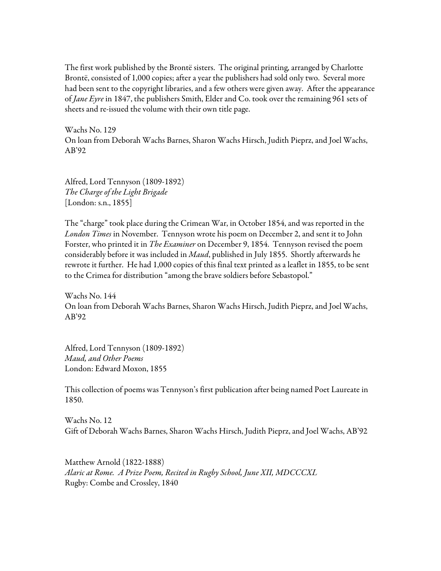The first work published by the Brontë sisters. The original printing, arranged by Charlotte Brontë, consisted of 1,000 copies; after a year the publishers had sold only two. Several more had been sent to the copyright libraries, and a few others were given away. After the appearance of *Jane Eyre* in 1847, the publishers Smith, Elder and Co. took over the remaining 961 sets of sheets and re-issued the volume with their own title page.

Wachs No. 129 On loan from Deborah Wachs Barnes, Sharon Wachs Hirsch, Judith Pieprz, and Joel Wachs, AB'92

Alfred, Lord Tennyson (1809-1892) *The Charge of the Light Brigade* [London: s.n., 1855]

The "charge" took place during the Crimean War, in October 1854, and was reported in the *London Times* in November. Tennyson wrote his poem on December 2, and sent it to John Forster, who printed it in *The Examiner* on December 9, 1854. Tennyson revised the poem considerably before it was included in *Maud*, published in July 1855. Shortly afterwards he rewrote it further. He had 1,000 copies of this final text printed as a leaflet in 1855, to be sent to the Crimea for distribution "among the brave soldiers before Sebastopol."

Wachs No. 144 On loan from Deborah Wachs Barnes, Sharon Wachs Hirsch, Judith Pieprz, and Joel Wachs, AB'92

Alfred, Lord Tennyson (1809-1892) *Maud, and Other Poems* London: Edward Moxon, 1855

This collection of poems was Tennyson's first publication after being named Poet Laureate in 1850.

Wachs No. 12 Gift of Deborah Wachs Barnes, Sharon Wachs Hirsch, Judith Pieprz, and Joel Wachs, AB'92

Matthew Arnold (1822-1888) *Alaric at Rome. A Prize Poem, Recited in Rugby School, June XII, MDCCCXL* Rugby: Combe and Crossley, 1840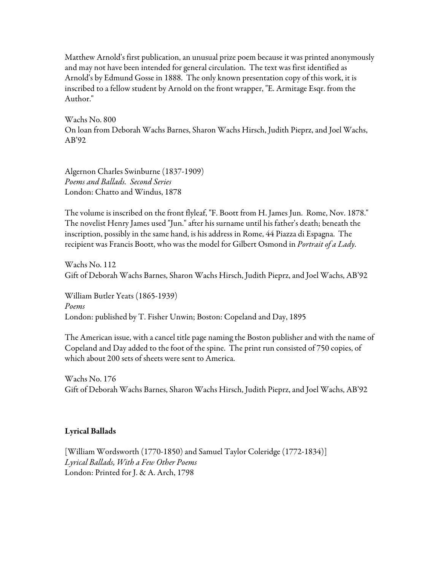Matthew Arnold's first publication, an unusual prize poem because it was printed anonymously and may not have been intended for general circulation. The text was first identified as Arnold's by Edmund Gosse in 1888. The only known presentation copy of this work, it is inscribed to a fellow student by Arnold on the front wrapper, "E. Armitage Esqr. from the Author."

Wachs No. 800 On loan from Deborah Wachs Barnes, Sharon Wachs Hirsch, Judith Pieprz, and Joel Wachs, AB'92

Algernon Charles Swinburne (1837-1909) *Poems and Ballads. Second Series* London: Chatto and Windus, 1878

The volume is inscribed on the front flyleaf, "F. Boott from H. James Jun. Rome, Nov. 1878." The novelist Henry James used "Jun." after his surname until his father's death; beneath the inscription, possibly in the same hand, is his address in Rome, 44 Piazza di Espagna. The recipient was Francis Boott, who was the model for Gilbert Osmond in *Portrait of a Lady*.

Wachs No. 112 Gift of Deborah Wachs Barnes, Sharon Wachs Hirsch, Judith Pieprz, and Joel Wachs, AB'92

William Butler Yeats (1865-1939) *Poems* London: published by T. Fisher Unwin; Boston: Copeland and Day, 1895

The American issue, with a cancel title page naming the Boston publisher and with the name of Copeland and Day added to the foot of the spine. The print run consisted of 750 copies, of which about 200 sets of sheets were sent to America.

Wachs No. 176 Gift of Deborah Wachs Barnes, Sharon Wachs Hirsch, Judith Pieprz, and Joel Wachs, AB'92

## Lyrical Ballads

[William Wordsworth (1770-1850) and Samuel Taylor Coleridge (1772-1834)] *Lyrical Ballads, With a Few Other Poems* London: Printed for J. & A. Arch, 1798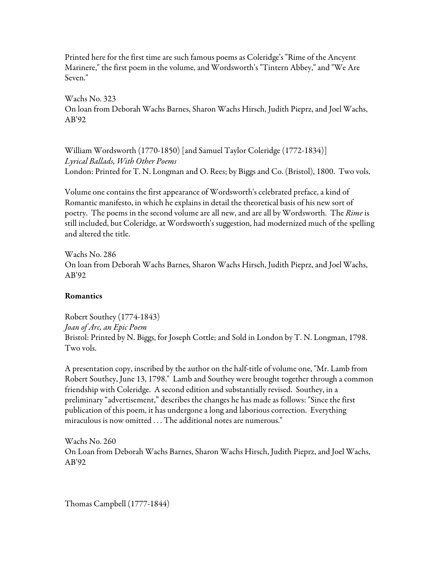Printed here for the first time are such famous poems as Coleridge's "Rime of the Ancyent Marinere," the first poem in the volume, and Wordsworth's "Tintern Abbey," and "We Are Seven."

Wachs No. 323 On loan from Deborah Wachs Barnes, Sharon Wachs Hirsch, Judith Pieprz, and Joel Wachs, AB'92

William Wordsworth (1770-1850) [and Samuel Taylor Coleridge (1772-1834)] *Lyrical Ballads, With Other Poems* London: Printed for T. N. Longman and O. Rees; by Biggs and Co. (Bristol), 1800. Two vols.

Volume one contains the first appearance of Wordsworth's celebrated preface, a kind of Romantic manifesto, in which he explains in detail the theoretical basis of his new sort of poetry. The poems in the second volume are all new, and are all by Wordsworth. The *Rime* is still included, but Coleridge, at Wordsworth's suggestion, had modernized much of the spelling and altered the title.

Wachs No. 286 On loan from Deborah Wachs Barnes, Sharon Wachs Hirsch, Judith Pieprz, and Joel Wachs, AB'92

# Romantics

Robert Southey (1774-1843) *Joan of Arc, an Epic Poem* Bristol: Printed by N. Biggs, for Joseph Cottle; and Sold in London by T. N. Longman, 1798. Two vols.

A presentation copy, inscribed by the author on the half-title of volume one, "Mr. Lamb from Robert Southey, June 13, 1798." Lamb and Southey were brought together through a common friendship with Coleridge. A second edition and substantially revised. Southey, in a preliminary "advertisement," describes the changes he has made as follows: "Since the first publication of this poem, it has undergone a long and laborious correction. Everything miraculous is now omitted . . . The additional notes are numerous."

Wachs No. 260 On Loan from Deborah Wachs Barnes, Sharon Wachs Hirsch, Judith Pieprz, and Joel Wachs, AB'92

Thomas Campbell (1777-1844)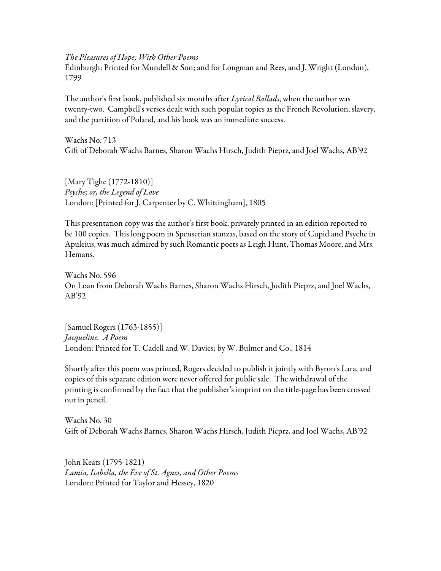*The Pleasures of Hope; With Other Poems*

Edinburgh: Printed for Mundell & Son; and for Longman and Rees, and J. Wright (London), 1799

The author's first book, published six months after *Lyrical Ballads*, when the author was twenty-two. Campbell's verses dealt with such popular topics as the French Revolution, slavery, and the partition of Poland, and his book was an immediate success.

Wachs No. 713 Gift of Deborah Wachs Barnes, Sharon Wachs Hirsch, Judith Pieprz, and Joel Wachs, AB'92

[Mary Tighe (1772-1810)] *Psyche; or, the Legend of Love* London: [Printed for J. Carpenter by C. Whittingham], 1805

This presentation copy was the author's first book, privately printed in an edition reported to be 100 copies. This long poem in Spenserian stanzas, based on the story of Cupid and Psyche in Apuleius, was much admired by such Romantic poets as Leigh Hunt, Thomas Moore, and Mrs. Hemans.

Wachs No. 596 On Loan from Deborah Wachs Barnes, Sharon Wachs Hirsch, Judith Pieprz, and Joel Wachs, AB'92

[Samuel Rogers (1763-1855)] *Jacqueline. A Poem* London: Printed for T. Cadell and W. Davies; by W. Bulmer and Co., 1814

Shortly after this poem was printed, Rogers decided to publish it jointly with Byron's Lara, and copies of this separate edition were never offered for public sale. The withdrawal of the printing is confirmed by the fact that the publisher's imprint on the title-page has been crossed out in pencil.

Wachs No. 30 Gift of Deborah Wachs Barnes, Sharon Wachs Hirsch, Judith Pieprz, and Joel Wachs, AB'92

John Keats (1795-1821) *Lamia, Isabella, the Eve of St. Agnes, and Other Poems* London: Printed for Taylor and Hessey, 1820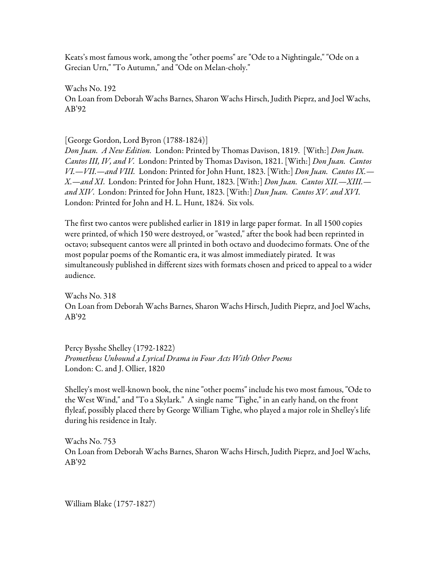Keats's most famous work, among the "other poems" are "Ode to a Nightingale," "Ode on a Grecian Urn," "To Autumn," and "Ode on Melan-choly."

Wachs No. 192 On Loan from Deborah Wachs Barnes, Sharon Wachs Hirsch, Judith Pieprz, and Joel Wachs, AB'92

[George Gordon, Lord Byron (1788-1824)]

*Don Juan. A New Edition.* London: Printed by Thomas Davison, 1819. [With:] *Don Juan. Cantos III, IV, and V.* London: Printed by Thomas Davison, 1821. [With:] *Don Juan. Cantos VI.—VII.—and VIII.* London: Printed for John Hunt, 1823. [With:] *Don Juan. Cantos IX.— X.—and XI*. London: Printed for John Hunt, 1823. [With:] *Don Juan. Cantos XII.—XIII. and XIV*. London: Printed for John Hunt, 1823. [With:] *Dun Juan. Cantos XV. and XVI*. London: Printed for John and H. L. Hunt, 1824. Six vols.

The first two cantos were published earlier in 1819 in large paper format. In all 1500 copies were printed, of which 150 were destroyed, or "wasted," after the book had been reprinted in octavo; subsequent cantos were all printed in both octavo and duodecimo formats. One of the most popular poems of the Romantic era, it was almost immediately pirated. It was simultaneously published in different sizes with formats chosen and priced to appeal to a wider audience.

Wachs No. 318 On Loan from Deborah Wachs Barnes, Sharon Wachs Hirsch, Judith Pieprz, and Joel Wachs, AB'92

Percy Bysshe Shelley (1792-1822) *Prometheus Unbound a Lyrical Drama in Four Acts With Other Poems* London: C. and J. Ollier, 1820

Shelley's most well-known book, the nine "other poems" include his two most famous, "Ode to the West Wind," and "To a Skylark." A single name "Tighe," in an early hand, on the front flyleaf, possibly placed there by George William Tighe, who played a major role in Shelley's life during his residence in Italy.

Wachs No. 753 On Loan from Deborah Wachs Barnes, Sharon Wachs Hirsch, Judith Pieprz, and Joel Wachs, AB'92

William Blake (1757-1827)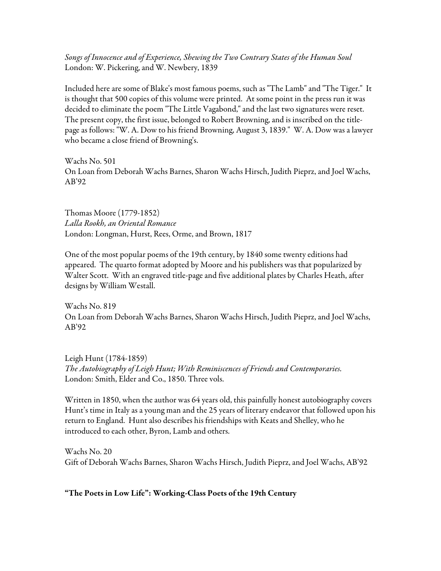*Songs of Innocence and of Experience, Shewing the Two Contrary States of the Human Soul* London: W. Pickering, and W. Newbery, 1839

Included here are some of Blake's most famous poems, such as "The Lamb" and "The Tiger." It is thought that 500 copies of this volume were printed. At some point in the press run it was decided to eliminate the poem "The Little Vagabond," and the last two signatures were reset. The present copy, the first issue, belonged to Robert Browning, and is inscribed on the titlepage as follows: "W. A. Dow to his friend Browning, August 3, 1839." W. A. Dow was a lawyer who became a close friend of Browning's.

Wachs No. 501 On Loan from Deborah Wachs Barnes, Sharon Wachs Hirsch, Judith Pieprz, and Joel Wachs, AB'92

Thomas Moore (1779-1852) *Lalla Rookh, an Oriental Romance* London: Longman, Hurst, Rees, Orme, and Brown, 1817

One of the most popular poems of the 19th century, by 1840 some twenty editions had appeared. The quarto format adopted by Moore and his publishers was that popularized by Walter Scott. With an engraved title-page and five additional plates by Charles Heath, after designs by William Westall.

Wachs No. 819 On Loan from Deborah Wachs Barnes, Sharon Wachs Hirsch, Judith Pieprz, and Joel Wachs, AB'92

Leigh Hunt (1784-1859) *The Autobiography of Leigh Hunt; With Reminiscences of Friends and Contemporaries.* London: Smith, Elder and Co., 1850. Three vols.

Written in 1850, when the author was 64 years old, this painfully honest autobiography covers Hunt's time in Italy as a young man and the 25 years of literary endeavor that followed upon his return to England. Hunt also describes his friendships with Keats and Shelley, who he introduced to each other, Byron, Lamb and others.

Wachs No. 20 Gift of Deborah Wachs Barnes, Sharon Wachs Hirsch, Judith Pieprz, and Joel Wachs, AB'92

## "The Poets in Low Life": Working-Class Poets of the 19th Century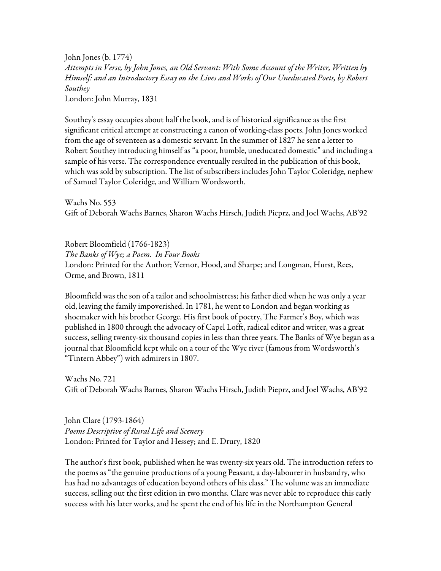John Jones (b. 1774) *Attempts in Verse, by John Jones, an Old Servant: With Some Account of the Writer, Written by Himself: and an Introductory Essay on the Lives and Works of Our Uneducated Poets, by Robert Southey* London: John Murray, 1831

Southey's essay occupies about half the book, and is of historical significance as the first significant critical attempt at constructing a canon of working-class poets. John Jones worked from the age of seventeen as a domestic servant. In the summer of 1827 he sent a letter to Robert Southey introducing himself as "a poor, humble, uneducated domestic" and including a sample of his verse. The correspondence eventually resulted in the publication of this book, which was sold by subscription. The list of subscribers includes John Taylor Coleridge, nephew of Samuel Taylor Coleridge, and William Wordsworth.

Wachs No. 553 Gift of Deborah Wachs Barnes, Sharon Wachs Hirsch, Judith Pieprz, and Joel Wachs, AB'92

Robert Bloomfield (1766-1823) *The Banks of Wye; a Poem. In Four Books* London: Printed for the Author; Vernor, Hood, and Sharpe; and Longman, Hurst, Rees, Orme, and Brown, 1811

Bloomfield was the son of a tailor and schoolmistress; his father died when he was only a year old, leaving the family impoverished. In 1781, he went to London and began working as shoemaker with his brother George. His first book of poetry, The Farmer's Boy, which was published in 1800 through the advocacy of Capel Lofft, radical editor and writer, was a great success, selling twenty-six thousand copies in less than three years. The Banks of Wye began as a journal that Bloomfield kept while on a tour of the Wye river (famous from Wordsworth's "Tintern Abbey") with admirers in 1807.

Wachs No. 721 Gift of Deborah Wachs Barnes, Sharon Wachs Hirsch, Judith Pieprz, and Joel Wachs, AB'92

John Clare (1793-1864) *Poems Descriptive of Rural Life and Scenery* London: Printed for Taylor and Hessey; and E. Drury, 1820

The author's first book, published when he was twenty-six years old. The introduction refers to the poems as "the genuine productions of a young Peasant, a day-labourer in husbandry, who has had no advantages of education beyond others of his class." The volume was an immediate success, selling out the first edition in two months. Clare was never able to reproduce this early success with his later works, and he spent the end of his life in the Northampton General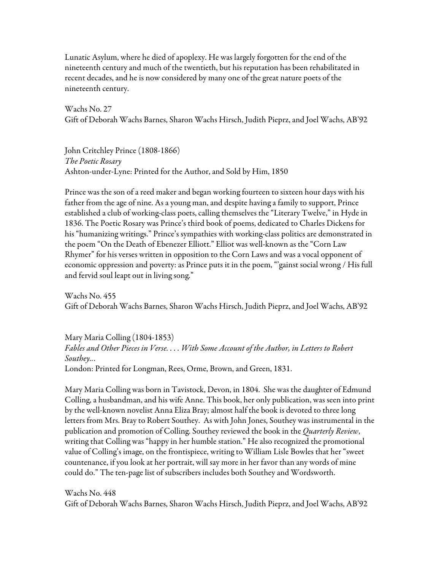Lunatic Asylum, where he died of apoplexy. He was largely forgotten for the end of the nineteenth century and much of the twentieth, but his reputation has been rehabilitated in recent decades, and he is now considered by many one of the great nature poets of the nineteenth century.

Wachs No. 27 Gift of Deborah Wachs Barnes, Sharon Wachs Hirsch, Judith Pieprz, and Joel Wachs, AB'92

John Critchley Prince (1808-1866) *The Poetic Rosary* Ashton-under-Lyne: Printed for the Author, and Sold by Him, 1850

Prince was the son of a reed maker and began working fourteen to sixteen hour days with his father from the age of nine. As a young man, and despite having a family to support, Prince established a club of working-class poets, calling themselves the "Literary Twelve," in Hyde in 1836. The Poetic Rosary was Prince's third book of poems, dedicated to Charles Dickens for his "humanizing writings." Prince's sympathies with working-class politics are demonstrated in the poem "On the Death of Ebenezer Elliott." Elliot was well-known as the "Corn Law Rhymer" for his verses written in opposition to the Corn Laws and was a vocal opponent of economic oppression and poverty: as Prince puts it in the poem, "'gainst social wrong / His full and fervid soul leapt out in living song."

Wachs No. 455 Gift of Deborah Wachs Barnes, Sharon Wachs Hirsch, Judith Pieprz, and Joel Wachs, AB'92

Mary Maria Colling (1804-1853) *Fables and Other Pieces in Verse. . . . With Some Account of the Author, in Letters to Robert Southey..*. London: Printed for Longman, Rees, Orme, Brown, and Green, 1831.

Mary Maria Colling was born in Tavistock, Devon, in 1804. She was the daughter of Edmund Colling, a husbandman, and his wife Anne. This book, her only publication, was seen into print by the well-known novelist Anna Eliza Bray; almost half the book is devoted to three long letters from Mrs. Bray to Robert Southey. As with John Jones, Southey was instrumental in the publication and promotion of Colling. Southey reviewed the book in the *Quarterly Review*, writing that Colling was "happy in her humble station." He also recognized the promotional value of Colling's image, on the frontispiece, writing to William Lisle Bowles that her "sweet countenance, if you look at her portrait, will say more in her favor than any words of mine could do." The ten-page list of subscribers includes both Southey and Wordsworth.

Wachs No. 448 Gift of Deborah Wachs Barnes, Sharon Wachs Hirsch, Judith Pieprz, and Joel Wachs, AB'92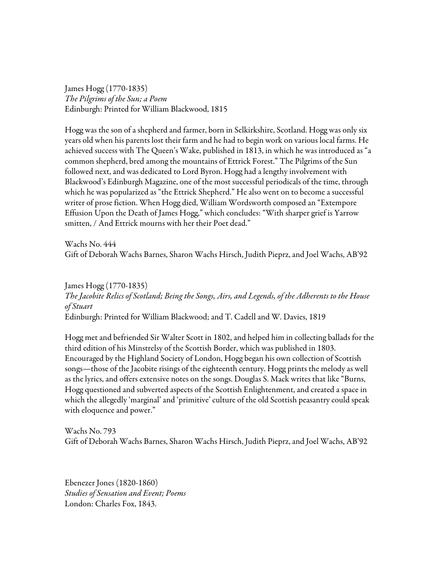James Hogg (1770-1835) *The Pilgrims of the Sun; a Poem* Edinburgh: Printed for William Blackwood, 1815

Hogg was the son of a shepherd and farmer, born in Selkirkshire, Scotland. Hogg was only six years old when his parents lost their farm and he had to begin work on various local farms. He achieved success with The Queen's Wake, published in 1813, in which he was introduced as "a common shepherd, bred among the mountains of Ettrick Forest." The Pilgrims of the Sun followed next, and was dedicated to Lord Byron. Hogg had a lengthy involvement with Blackwood's Edinburgh Magazine, one of the most successful periodicals of the time, through which he was popularized as "the Ettrick Shepherd." He also went on to become a successful writer of prose fiction. When Hogg died, William Wordsworth composed an "Extempore Effusion Upon the Death of James Hogg," which concludes: "With sharper grief is Yarrow smitten, / And Ettrick mourns with her their Poet dead."

Wachs No. 444 Gift of Deborah Wachs Barnes, Sharon Wachs Hirsch, Judith Pieprz, and Joel Wachs, AB'92

James Hogg (1770-1835) *The Jacobite Relics of Scotland; Being the Songs, Airs, and Legends, of the Adherents to the House of Stuart* Edinburgh: Printed for William Blackwood; and T. Cadell and W. Davies, 1819

Hogg met and befriended Sir Walter Scott in 1802, and helped him in collecting ballads for the third edition of his Minstrelsy of the Scottish Border, which was published in 1803. Encouraged by the Highland Society of London, Hogg began his own collection of Scottish songs—those of the Jacobite risings of the eighteenth century. Hogg prints the melody as well as the lyrics, and offers extensive notes on the songs. Douglas S. Mack writes that like "Burns, Hogg questioned and subverted aspects of the Scottish Enlightenment, and created a space in which the allegedly 'marginal' and 'primitive' culture of the old Scottish peasantry could speak with eloquence and power."

Wachs No. 793 Gift of Deborah Wachs Barnes, Sharon Wachs Hirsch, Judith Pieprz, and Joel Wachs, AB'92

Ebenezer Jones (1820-1860) *Studies of Sensation and Event; Poems* London: Charles Fox, 1843.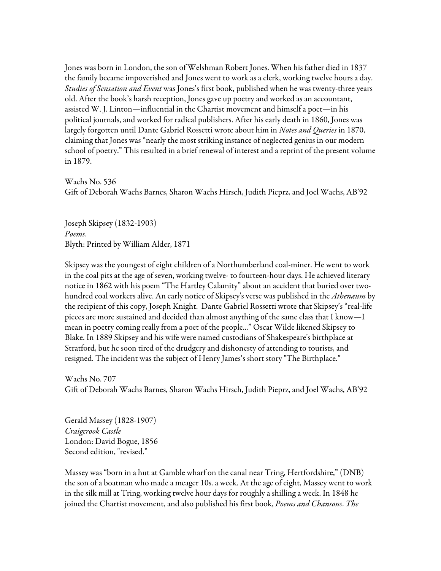Jones was born in London, the son of Welshman Robert Jones. When his father died in 1837 the family became impoverished and Jones went to work as a clerk, working twelve hours a day. *Studies of Sensation and Event* was Jones's first book, published when he was twenty-three years old. After the book's harsh reception, Jones gave up poetry and worked as an accountant, assisted W. J. Linton—influential in the Chartist movement and himself a poet—in his political journals, and worked for radical publishers. After his early death in 1860, Jones was largely forgotten until Dante Gabriel Rossetti wrote about him in *Notes and Queries* in 1870, claiming that Jones was "nearly the most striking instance of neglected genius in our modern school of poetry." This resulted in a brief renewal of interest and a reprint of the present volume in 1879.

Wachs No. 536 Gift of Deborah Wachs Barnes, Sharon Wachs Hirsch, Judith Pieprz, and Joel Wachs, AB'92

Joseph Skipsey (1832-1903) *Poems*. Blyth: Printed by William Alder, 1871

Skipsey was the youngest of eight children of a Northumberland coal-miner. He went to work in the coal pits at the age of seven, working twelve- to fourteen-hour days. He achieved literary notice in 1862 with his poem "The Hartley Calamity" about an accident that buried over twohundred coal workers alive. An early notice of Skipsey's verse was published in the *Athenæum* by the recipient of this copy, Joseph Knight. Dante Gabriel Rossetti wrote that Skipsey's "real-life pieces are more sustained and decided than almost anything of the same class that I know—I mean in poetry coming really from a poet of the people..." Oscar Wilde likened Skipsey to Blake. In 1889 Skipsey and his wife were named custodians of Shakespeare's birthplace at Stratford, but he soon tired of the drudgery and dishonesty of attending to tourists, and resigned. The incident was the subject of Henry James's short story "The Birthplace."

Wachs No. 707 Gift of Deborah Wachs Barnes, Sharon Wachs Hirsch, Judith Pieprz, and Joel Wachs, AB'92

Gerald Massey (1828-1907) *Craigcrook Castle* London: David Bogue, 1856 Second edition, "revised."

Massey was "born in a hut at Gamble wharf on the canal near Tring, Hertfordshire," (DNB) the son of a boatman who made a meager 10s. a week. At the age of eight, Massey went to work in the silk mill at Tring, working twelve hour days for roughly a shilling a week. In 1848 he joined the Chartist movement, and also published his first book, *Poems and Chansons*. *The*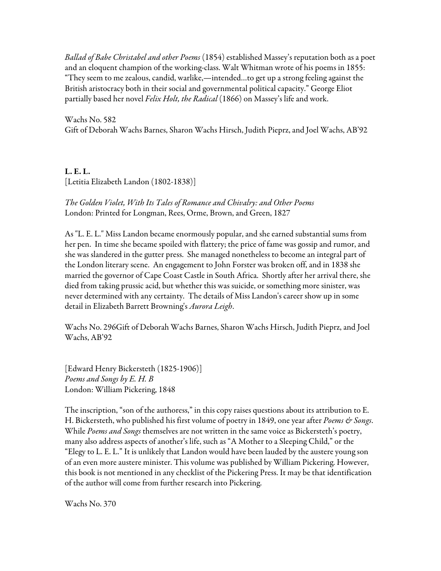*Ballad of Babe Christabel and other Poems* (1854) established Massey's reputation both as a poet and an eloquent champion of the working-class. Walt Whitman wrote of his poems in 1855: "They seem to me zealous, candid, warlike,—intended…to get up a strong feeling against the British aristocracy both in their social and governmental political capacity." George Eliot partially based her novel *Felix Holt, the Radical* (1866) on Massey's life and work.

Wachs No. 582 Gift of Deborah Wachs Barnes, Sharon Wachs Hirsch, Judith Pieprz, and Joel Wachs, AB'92

L. E. L. [Letitia Elizabeth Landon (1802-1838)]

*The Golden Violet, With Its Tales of Romance and Chivalry: and Other Poems* London: Printed for Longman, Rees, Orme, Brown, and Green, 1827

As "L. E. L." Miss Landon became enormously popular, and she earned substantial sums from her pen. In time she became spoiled with flattery; the price of fame was gossip and rumor, and she was slandered in the gutter press. She managed nonetheless to become an integral part of the London literary scene. An engagement to John Forster was broken off, and in 1838 she married the governor of Cape Coast Castle in South Africa. Shortly after her arrival there, she died from taking prussic acid, but whether this was suicide, or something more sinister, was never determined with any certainty. The details of Miss Landon's career show up in some detail in Elizabeth Barrett Browning's *Aurora Leigh*.

Wachs No. 296Gift of Deborah Wachs Barnes, Sharon Wachs Hirsch, Judith Pieprz, and Joel Wachs, AB'92

[Edward Henry Bickersteth (1825-1906)] *Poems and Songs by E. H. B* London: William Pickering, 1848

The inscription, "son of the authoress," in this copy raises questions about its attribution to E. H. Bickersteth, who published his first volume of poetry in 1849, one year after *Poems & Songs*. While *Poems and Songs* themselves are not written in the same voice as Bickersteth's poetry, many also address aspects of another's life, such as "A Mother to a Sleeping Child," or the "Elegy to L. E. L." It is unlikely that Landon would have been lauded by the austere young son of an even more austere minister. This volume was published by William Pickering. However, this book is not mentioned in any checklist of the Pickering Press. It may be that identification of the author will come from further research into Pickering.

Wachs No. 370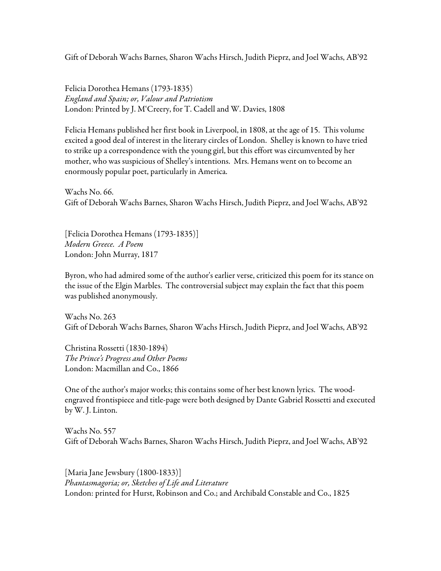Gift of Deborah Wachs Barnes, Sharon Wachs Hirsch, Judith Pieprz, and Joel Wachs, AB'92

Felicia Dorothea Hemans (1793-1835) *England and Spain; or, Valour and Patriotism* London: Printed by J. M'Creery, for T. Cadell and W. Davies, 1808

Felicia Hemans published her first book in Liverpool, in 1808, at the age of 15. This volume excited a good deal of interest in the literary circles of London. Shelley is known to have tried to strike up a correspondence with the young girl, but this effort was circumvented by her mother, who was suspicious of Shelley's intentions. Mrs. Hemans went on to become an enormously popular poet, particularly in America.

Wachs No. 66. Gift of Deborah Wachs Barnes, Sharon Wachs Hirsch, Judith Pieprz, and Joel Wachs, AB'92

[Felicia Dorothea Hemans (1793-1835)] *Modern Greece. A Poem* London: John Murray, 1817

Byron, who had admired some of the author's earlier verse, criticized this poem for its stance on the issue of the Elgin Marbles. The controversial subject may explain the fact that this poem was published anonymously.

Wachs No. 263 Gift of Deborah Wachs Barnes, Sharon Wachs Hirsch, Judith Pieprz, and Joel Wachs, AB'92

Christina Rossetti (1830-1894) *The Prince's Progress and Other Poems* London: Macmillan and Co., 1866

One of the author's major works; this contains some of her best known lyrics. The woodengraved frontispiece and title-page were both designed by Dante Gabriel Rossetti and executed by W. J. Linton.

Wachs No. 557 Gift of Deborah Wachs Barnes, Sharon Wachs Hirsch, Judith Pieprz, and Joel Wachs, AB'92

[Maria Jane Jewsbury (1800-1833)] *Phantasmagoria; or, Sketches of Life and Literature* London: printed for Hurst, Robinson and Co.; and Archibald Constable and Co., 1825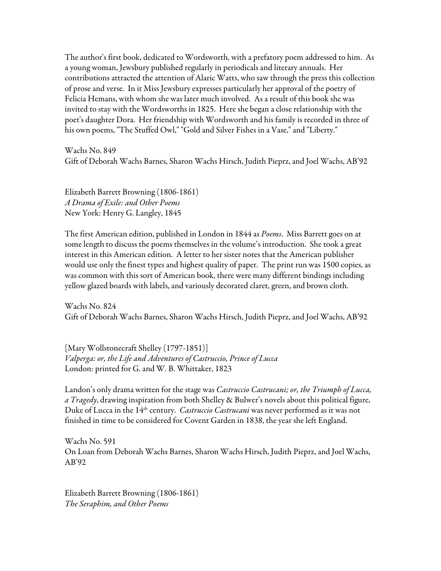The author's first book, dedicated to Wordsworth, with a prefatory poem addressed to him. As a young woman, Jewsbury published regularly in periodicals and literary annuals. Her contributions attracted the attention of Alaric Watts, who saw through the press this collection of prose and verse. In it Miss Jewsbury expresses particularly her approval of the poetry of Felicia Hemans, with whom she was later much involved. As a result of this book she was invited to stay with the Wordsworths in 1825. Here she began a close relationship with the poet's daughter Dora. Her friendship with Wordsworth and his family is recorded in three of his own poems, "The Stuffed Owl," "Gold and Silver Fishes in a Vase," and "Liberty."

Wachs No. 849 Gift of Deborah Wachs Barnes, Sharon Wachs Hirsch, Judith Pieprz, and Joel Wachs, AB'92

Elizabeth Barrett Browning (1806-1861) *A Drama of Exile: and Other Poems* New York: Henry G. Langley, 1845

The first American edition, published in London in 1844 as *Poems*. Miss Barrett goes on at some length to discuss the poems themselves in the volume's introduction. She took a great interest in this American edition. A letter to her sister notes that the American publisher would use only the finest types and highest quality of paper. The print run was 1500 copies, as was common with this sort of American book, there were many different bindings including yellow glazed boards with labels, and variously decorated claret, green, and brown cloth.

Wachs No. 824 Gift of Deborah Wachs Barnes, Sharon Wachs Hirsch, Judith Pieprz, and Joel Wachs, AB'92

[Mary Wollstonecraft Shelley (1797-1851)] *Valperga: or, the Life and Adventures of Castruccio, Prince of Lucca* London: printed for G. and W. B. Whittaker, 1823

Landon's only drama written for the stage was *Castruccio Castrucani; or, the Triumph of Lucca, a Tragedy*, drawing inspiration from both Shelley & Bulwer's novels about this political figure, Duke of Lucca in the 14th century. *Castruccio Castrucani* was never performed as it was not finished in time to be considered for Covent Garden in 1838, the year she left England.

Wachs No. 591 On Loan from Deborah Wachs Barnes, Sharon Wachs Hirsch, Judith Pieprz, and Joel Wachs, AB'92

Elizabeth Barrett Browning (1806-1861) *The Seraphim, and Other Poems*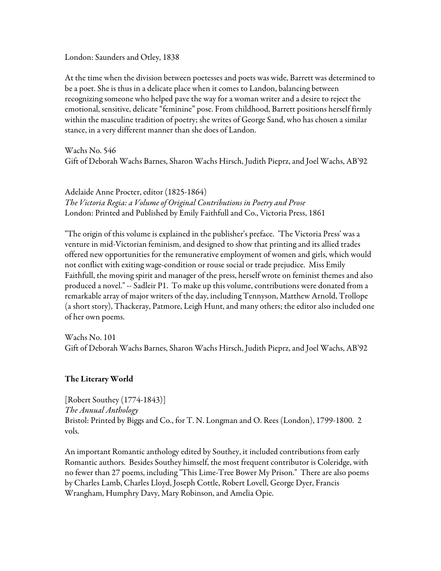London: Saunders and Otley, 1838

At the time when the division between poetesses and poets was wide, Barrett was determined to be a poet. She is thus in a delicate place when it comes to Landon, balancing between recognizing someone who helped pave the way for a woman writer and a desire to reject the emotional, sensitive, delicate "feminine" pose. From childhood, Barrett positions herself firmly within the masculine tradition of poetry; she writes of George Sand, who has chosen a similar stance, in a very different manner than she does of Landon.

Wachs No. 546 Gift of Deborah Wachs Barnes, Sharon Wachs Hirsch, Judith Pieprz, and Joel Wachs, AB'92

Adelaide Anne Procter, editor (1825-1864) *The Victoria Regia: a Volume of Original Contributions in Poetry and Prose* London: Printed and Published by Emily Faithfull and Co., Victoria Press, 1861

"The origin of this volume is explained in the publisher's preface. 'The Victoria Press' was a venture in mid-Victorian feminism, and designed to show that printing and its allied trades offered new opportunities for the remunerative employment of women and girls, which would not conflict with exiting wage-condition or rouse social or trade prejudice. Miss Emily Faithfull, the moving spirit and manager of the press, herself wrote on feminist themes and also produced a novel." -- Sadleir P1. To make up this volume, contributions were donated from a remarkable array of major writers of the day, including Tennyson, Matthew Arnold, Trollope (a short story), Thackeray, Patmore, Leigh Hunt, and many others; the editor also included one of her own poems.

Wachs No. 101 Gift of Deborah Wachs Barnes, Sharon Wachs Hirsch, Judith Pieprz, and Joel Wachs, AB'92

## The Literary World

[Robert Southey (1774-1843)] *The Annual Anthology* Bristol: Printed by Biggs and Co., for T. N. Longman and O. Rees (London), 1799-1800. 2 vols.

An important Romantic anthology edited by Southey, it included contributions from early Romantic authors. Besides Southey himself, the most frequent contributor is Coleridge, with no fewer than 27 poems, including "This Lime-Tree Bower My Prison." There are also poems by Charles Lamb, Charles Lloyd, Joseph Cottle, Robert Lovell, George Dyer, Francis Wrangham, Humphry Davy, Mary Robinson, and Amelia Opie.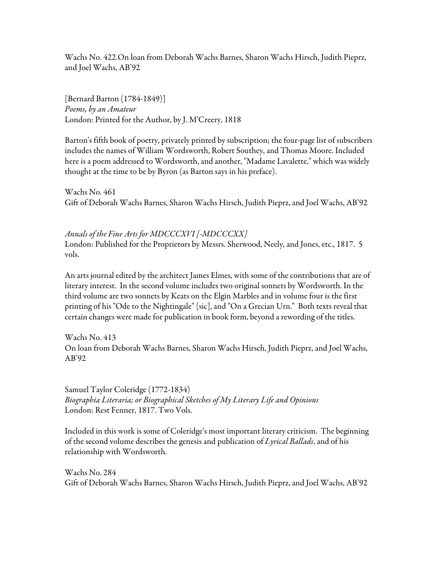Wachs No. 422.On loan from Deborah Wachs Barnes, Sharon Wachs Hirsch, Judith Pieprz, and Joel Wachs, AB'92

[Bernard Barton (1784-1849)] *Poems, by an Amateur* London: Printed for the Author, by J. M'Creery, 1818

Barton's fifth book of poetry, privately printed by subscription; the four-page list of subscribers includes the names of William Wordsworth, Robert Southey, and Thomas Moore. Included here is a poem addressed to Wordsworth, and another, "Madame Lavalette," which was widely thought at the time to be by Byron (as Barton says in his preface).

Wachs No. 461 Gift of Deborah Wachs Barnes, Sharon Wachs Hirsch, Judith Pieprz, and Joel Wachs, AB'92

## *Annals of the Fine Arts for MDCCCXVI [-MDCCCXX]*

London: Published for the Proprietors by Messrs. Sherwood, Neely, and Jones, etc., 1817. 5 vols.

An arts journal edited by the architect James Elmes, with some of the contributions that are of literary interest. In the second volume includes two original sonnets by Wordsworth. In the third volume are two sonnets by Keats on the Elgin Marbles and in volume four is the first printing of his "Ode to the Nightingale" [sic], and "On a Grecian Urn." Both texts reveal that certain changes were made for publication in book form, beyond a rewording of the titles.

Wachs No. 413 On loan from Deborah Wachs Barnes, Sharon Wachs Hirsch, Judith Pieprz, and Joel Wachs, AB'92

Samuel Taylor Coleridge (1772-1834) *Biographia Literaria; or Biographical Sketches of My Literary Life and Opinions* London: Rest Fenner, 1817. Two Vols.

Included in this work is some of Coleridge's most important literary criticism. The beginning of the second volume describes the genesis and publication of *Lyrical Ballads*, and of his relationship with Wordsworth.

Wachs No. 284 Gift of Deborah Wachs Barnes, Sharon Wachs Hirsch, Judith Pieprz, and Joel Wachs, AB'92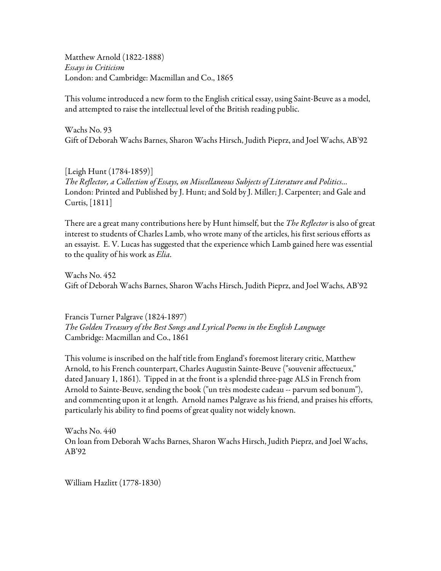Matthew Arnold (1822-1888) *Essays in Criticism* London: and Cambridge: Macmillan and Co., 1865

This volume introduced a new form to the English critical essay, using Saint-Beuve as a model, and attempted to raise the intellectual level of the British reading public.

Wachs No. 93 Gift of Deborah Wachs Barnes, Sharon Wachs Hirsch, Judith Pieprz, and Joel Wachs, AB'92

[Leigh Hunt (1784-1859)] *The Reflector, a Collection of Essays, on Miscellaneous Subjects of Literature and Politics...* London: Printed and Published by J. Hunt; and Sold by J. Miller; J. Carpenter; and Gale and Curtis, [1811]

There are a great many contributions here by Hunt himself, but the *The Reflector* is also of great interest to students of Charles Lamb, who wrote many of the articles, his first serious efforts as an essayist. E. V. Lucas has suggested that the experience which Lamb gained here was essential to the quality of his work as *Elia*.

Wachs No. 452 Gift of Deborah Wachs Barnes, Sharon Wachs Hirsch, Judith Pieprz, and Joel Wachs, AB'92

Francis Turner Palgrave (1824-1897) *The Golden Treasury of the Best Songs and Lyrical Poems in the English Language* Cambridge: Macmillan and Co., 1861

This volume is inscribed on the half title from England's foremost literary critic, Matthew Arnold, to his French counterpart, Charles Augustin Sainte-Beuve ("souvenir affectueux," dated January 1, 1861). Tipped in at the front is a splendid three-page ALS in French from Arnold to Sainte-Beuve, sending the book ("un très modeste cadeau -- parvum sed bonum"), and commenting upon it at length. Arnold names Palgrave as his friend, and praises his efforts, particularly his ability to find poems of great quality not widely known.

Wachs No. 440 On loan from Deborah Wachs Barnes, Sharon Wachs Hirsch, Judith Pieprz, and Joel Wachs, AB'92

William Hazlitt (1778-1830)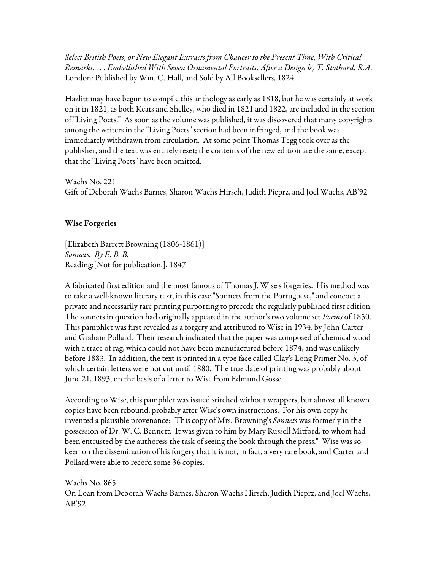*Select British Poets, or New Elegant Extracts from Chaucer to the Present Time, With Critical Remarks. . . . Embellished With Seven Ornamental Portraits, After a Design by T. Stothard, R.A*. London: Published by Wm. C. Hall, and Sold by All Booksellers, 1824

Hazlitt may have begun to compile this anthology as early as 1818, but he was certainly at work on it in 1821, as both Keats and Shelley, who died in 1821 and 1822, are included in the section of "Living Poets." As soon as the volume was published, it was discovered that many copyrights among the writers in the "Living Poets" section had been infringed, and the book was immediately withdrawn from circulation. At some point Thomas Tegg took over as the publisher, and the text was entirely reset; the contents of the new edition are the same, except that the "Living Poets" have been omitted.

Wachs No. 221 Gift of Deborah Wachs Barnes, Sharon Wachs Hirsch, Judith Pieprz, and Joel Wachs, AB'92

## Wise Forgeries

[Elizabeth Barrett Browning (1806-1861)] *Sonnets. By E. B. B.*  Reading:[Not for publication.], 1847

A fabricated first edition and the most famous of Thomas J. Wise's forgeries. His method was to take a well-known literary text, in this case "Sonnets from the Portuguese," and concoct a private and necessarily rare printing purporting to precede the regularly published first edition. The sonnets in question had originally appeared in the author's two volume set *Poems* of 1850. This pamphlet was first revealed as a forgery and attributed to Wise in 1934, by John Carter and Graham Pollard. Their research indicated that the paper was composed of chemical wood with a trace of rag, which could not have been manufactured before 1874, and was unlikely before 1883. In addition, the text is printed in a type face called Clay's Long Primer No. 3, of which certain letters were not cut until 1880. The true date of printing was probably about June 21, 1893, on the basis of a letter to Wise from Edmund Gosse.

According to Wise, this pamphlet was issued stitched without wrappers, but almost all known copies have been rebound, probably after Wise's own instructions. For his own copy he invented a plausible provenance: "This copy of Mrs. Browning's *Sonnets* was formerly in the possession of Dr. W. C. Bennett. It was given to him by Mary Russell Mitford, to whom had been entrusted by the authoress the task of seeing the book through the press." Wise was so keen on the dissemination of his forgery that it is not, in fact, a very rare book, and Carter and Pollard were able to record some 36 copies.

Wachs No. 865 On Loan from Deborah Wachs Barnes, Sharon Wachs Hirsch, Judith Pieprz, and Joel Wachs, AB'92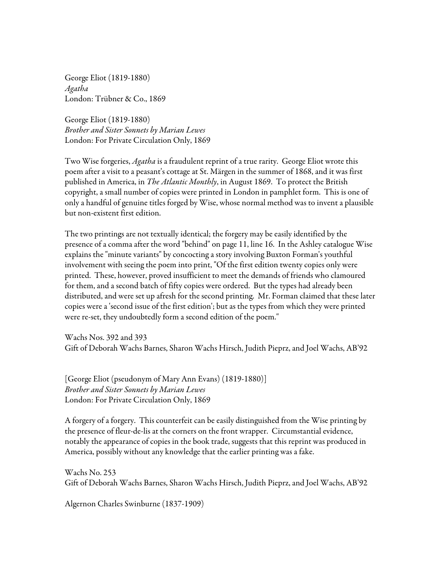George Eliot (1819-1880) *Agatha* London: Trübner & Co., 1869

George Eliot (1819-1880) *Brother and Sister Sonnets by Marian Lewes* London: For Private Circulation Only, 1869

Two Wise forgeries, *Agatha* is a fraudulent reprint of a true rarity. George Eliot wrote this poem after a visit to a peasant's cottage at St. Märgen in the summer of 1868, and it was first published in America, in *The Atlantic Monthly*, in August 1869. To protect the British copyright, a small number of copies were printed in London in pamphlet form. This is one of only a handful of genuine titles forged by Wise, whose normal method was to invent a plausible but non-existent first edition.

The two printings are not textually identical; the forgery may be easily identified by the presence of a comma after the word "behind" on page 11, line 16. In the Ashley catalogue Wise explains the "minute variants" by concocting a story involving Buxton Forman's youthful involvement with seeing the poem into print, "Of the first edition twenty copies only were printed. These, however, proved insufficient to meet the demands of friends who clamoured for them, and a second batch of fifty copies were ordered. But the types had already been distributed, and were set up afresh for the second printing. Mr. Forman claimed that these later copies were a 'second issue of the first edition'; but as the types from which they were printed were re-set, they undoubtedly form a second edition of the poem."

Wachs Nos. 392 and 393 Gift of Deborah Wachs Barnes, Sharon Wachs Hirsch, Judith Pieprz, and Joel Wachs, AB'92

[George Eliot (pseudonym of Mary Ann Evans) (1819-1880)] *Brother and Sister Sonnets by Marian Lewes* London: For Private Circulation Only, 1869

A forgery of a forgery. This counterfeit can be easily distinguished from the Wise printing by the presence of fleur-de-lis at the corners on the front wrapper. Circumstantial evidence, notably the appearance of copies in the book trade, suggests that this reprint was produced in America, possibly without any knowledge that the earlier printing was a fake.

Wachs No. 253 Gift of Deborah Wachs Barnes, Sharon Wachs Hirsch, Judith Pieprz, and Joel Wachs, AB'92

Algernon Charles Swinburne (1837-1909)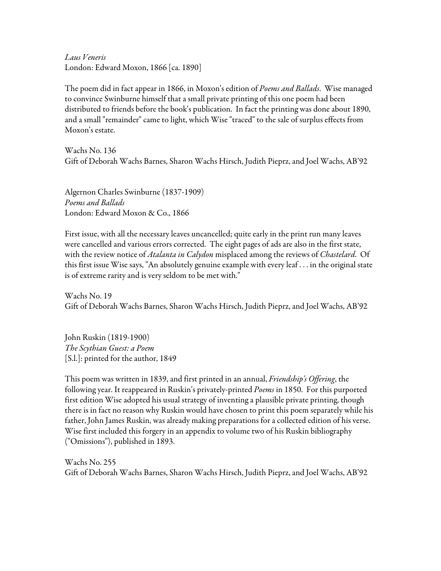*Laus Veneris* London: Edward Moxon, 1866 [ca. 1890]

The poem did in fact appear in 1866, in Moxon's edition of *Poems and Ballads*. Wise managed to convince Swinburne himself that a small private printing of this one poem had been distributed to friends before the book's publication. In fact the printing was done about 1890, and a small "remainder" came to light, which Wise "traced" to the sale of surplus effects from Moxon's estate.

Wachs No. 136 Gift of Deborah Wachs Barnes, Sharon Wachs Hirsch, Judith Pieprz, and Joel Wachs, AB'92

Algernon Charles Swinburne (1837-1909) *Poems and Ballads* London: Edward Moxon & Co., 1866

First issue, with all the necessary leaves uncancelled; quite early in the print run many leaves were cancelled and various errors corrected. The eight pages of ads are also in the first state, with the review notice of *Atalanta in Calydon* misplaced among the reviews of *Chastelard*. Of this first issue Wise says, "An absolutely genuine example with every leaf . . . in the original state is of extreme rarity and is very seldom to be met with."

Wachs No. 19 Gift of Deborah Wachs Barnes, Sharon Wachs Hirsch, Judith Pieprz, and Joel Wachs, AB'92

John Ruskin (1819-1900) *The Scythian Guest: a Poem* [S.l.]: printed for the author, 1849

This poem was written in 1839, and first printed in an annual, *Friendship's Offering*, the following year. It reappeared in Ruskin's privately-printed *Poems* in 1850. For this purported first edition Wise adopted his usual strategy of inventing a plausible private printing, though there is in fact no reason why Ruskin would have chosen to print this poem separately while his father, John James Ruskin, was already making preparations for a collected edition of his verse. Wise first included this forgery in an appendix to volume two of his Ruskin bibliography ("Omissions"), published in 1893.

Wachs No. 255 Gift of Deborah Wachs Barnes, Sharon Wachs Hirsch, Judith Pieprz, and Joel Wachs, AB'92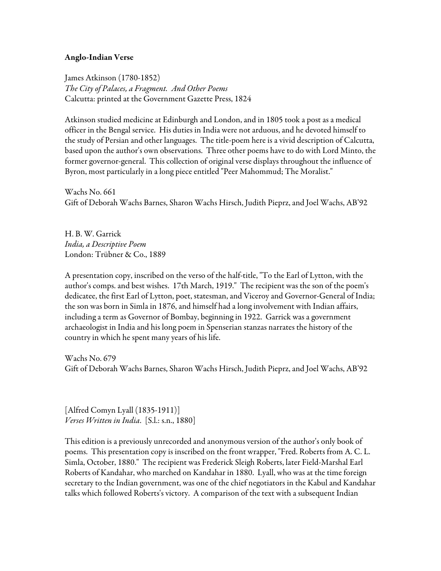#### Anglo-Indian Verse

James Atkinson (1780-1852) *The City of Palaces, a Fragment. And Other Poems* Calcutta: printed at the Government Gazette Press, 1824

Atkinson studied medicine at Edinburgh and London, and in 1805 took a post as a medical officer in the Bengal service. His duties in India were not arduous, and he devoted himself to the study of Persian and other languages. The title-poem here is a vivid description of Calcutta, based upon the author's own observations. Three other poems have to do with Lord Minto, the former governor-general. This collection of original verse displays throughout the influence of Byron, most particularly in a long piece entitled "Peer Mahommud; The Moralist."

Wachs No. 661 Gift of Deborah Wachs Barnes, Sharon Wachs Hirsch, Judith Pieprz, and Joel Wachs, AB'92

H. B. W. Garrick *India, a Descriptive Poem* London: Trübner & Co., 1889

A presentation copy, inscribed on the verso of the half-title, "To the Earl of Lytton, with the author's comps. and best wishes. 17th March, 1919." The recipient was the son of the poem's dedicatee, the first Earl of Lytton, poet, statesman, and Viceroy and Governor-General of India; the son was born in Simla in 1876, and himself had a long involvement with Indian affairs, including a term as Governor of Bombay, beginning in 1922. Garrick was a government archaeologist in India and his long poem in Spenserian stanzas narrates the history of the country in which he spent many years of his life.

Wachs No. 679 Gift of Deborah Wachs Barnes, Sharon Wachs Hirsch, Judith Pieprz, and Joel Wachs, AB'92

[Alfred Comyn Lyall (1835-1911)] *Verses Written in India*. [S.l.: s.n., 1880]

This edition is a previously unrecorded and anonymous version of the author's only book of poems. This presentation copy is inscribed on the front wrapper, "Fred. Roberts from A. C. L. Simla, October, 1880." The recipient was Frederick Sleigh Roberts, later Field-Marshal Earl Roberts of Kandahar, who marched on Kandahar in 1880. Lyall, who was at the time foreign secretary to the Indian government, was one of the chief negotiators in the Kabul and Kandahar talks which followed Roberts's victory. A comparison of the text with a subsequent Indian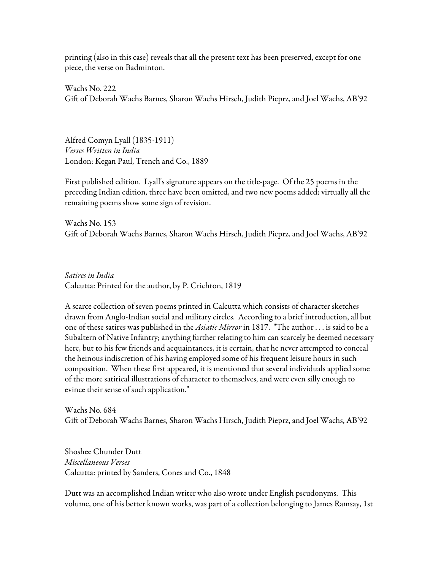printing (also in this case) reveals that all the present text has been preserved, except for one piece, the verse on Badminton.

Wachs No. 222 Gift of Deborah Wachs Barnes, Sharon Wachs Hirsch, Judith Pieprz, and Joel Wachs, AB'92

Alfred Comyn Lyall (1835-1911) *Verses Written in India* London: Kegan Paul, Trench and Co., 1889

First published edition. Lyall's signature appears on the title-page. Of the 25 poems in the preceding Indian edition, three have been omitted, and two new poems added; virtually all the remaining poems show some sign of revision.

Wachs No. 153 Gift of Deborah Wachs Barnes, Sharon Wachs Hirsch, Judith Pieprz, and Joel Wachs, AB'92

*Satires in India* Calcutta: Printed for the author, by P. Crichton, 1819

A scarce collection of seven poems printed in Calcutta which consists of character sketches drawn from Anglo-Indian social and military circles. According to a brief introduction, all but one of these satires was published in the *Asiatic Mirror* in 1817. "The author . . . is said to be a Subaltern of Native Infantry; anything further relating to him can scarcely be deemed necessary here, but to his few friends and acquaintances, it is certain, that he never attempted to conceal the heinous indiscretion of his having employed some of his frequent leisure hours in such composition. When these first appeared, it is mentioned that several individuals applied some of the more satirical illustrations of character to themselves, and were even silly enough to evince their sense of such application."

Wachs No. 684 Gift of Deborah Wachs Barnes, Sharon Wachs Hirsch, Judith Pieprz, and Joel Wachs, AB'92

Shoshee Chunder Dutt *Miscellaneous Verses* Calcutta: printed by Sanders, Cones and Co., 1848

Dutt was an accomplished Indian writer who also wrote under English pseudonyms. This volume, one of his better known works, was part of a collection belonging to James Ramsay, 1st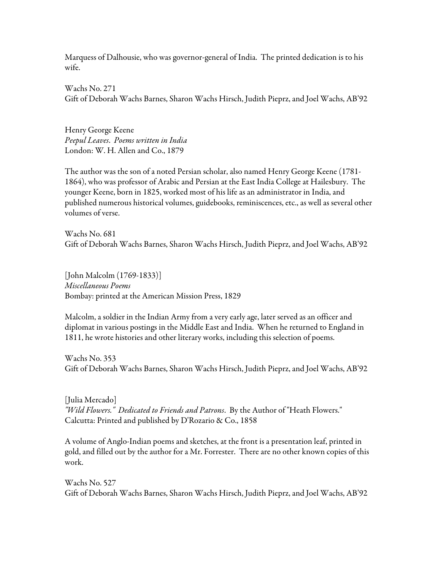Marquess of Dalhousie, who was governor-general of India. The printed dedication is to his wife.

Wachs No. 271 Gift of Deborah Wachs Barnes, Sharon Wachs Hirsch, Judith Pieprz, and Joel Wachs, AB'92

Henry George Keene *Peepul Leaves*. *Poems written in India* London: W. H. Allen and Co., 1879

The author was the son of a noted Persian scholar, also named Henry George Keene (1781- 1864), who was professor of Arabic and Persian at the East India College at Hailesbury. The younger Keene, born in 1825, worked most of his life as an administrator in India, and published numerous historical volumes, guidebooks, reminiscences, etc., as well as several other volumes of verse.

Wachs No. 681 Gift of Deborah Wachs Barnes, Sharon Wachs Hirsch, Judith Pieprz, and Joel Wachs, AB'92

[John Malcolm (1769-1833)] *Miscellaneous Poems* Bombay: printed at the American Mission Press, 1829

Malcolm, a soldier in the Indian Army from a very early age, later served as an officer and diplomat in various postings in the Middle East and India. When he returned to England in 1811, he wrote histories and other literary works, including this selection of poems.

Wachs No. 353 Gift of Deborah Wachs Barnes, Sharon Wachs Hirsch, Judith Pieprz, and Joel Wachs, AB'92

[Julia Mercado] *"Wild Flowers." Dedicated to Friends and Patrons*. By the Author of "Heath Flowers." Calcutta: Printed and published by D'Rozario & Co., 1858

A volume of Anglo-Indian poems and sketches, at the front is a presentation leaf, printed in gold, and filled out by the author for a Mr. Forrester. There are no other known copies of this work.

Wachs No. 527 Gift of Deborah Wachs Barnes, Sharon Wachs Hirsch, Judith Pieprz, and Joel Wachs, AB'92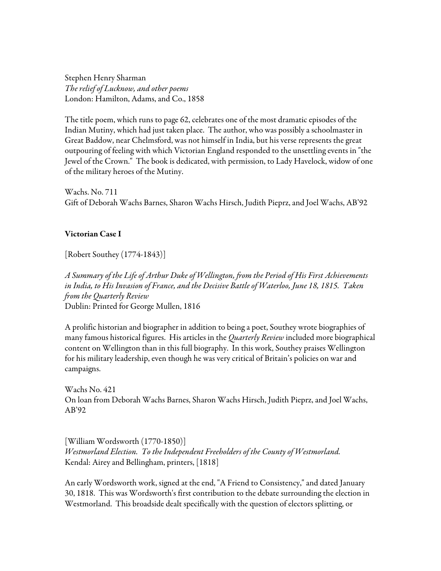Stephen Henry Sharman *The relief of Lucknow, and other poems* London: Hamilton, Adams, and Co., 1858

The title poem, which runs to page 62, celebrates one of the most dramatic episodes of the Indian Mutiny, which had just taken place. The author, who was possibly a schoolmaster in Great Baddow, near Chelmsford, was not himself in India, but his verse represents the great outpouring of feeling with which Victorian England responded to the unsettling events in "the Jewel of the Crown." The book is dedicated, with permission, to Lady Havelock, widow of one of the military heroes of the Mutiny.

Wachs. No. 711 Gift of Deborah Wachs Barnes, Sharon Wachs Hirsch, Judith Pieprz, and Joel Wachs, AB'92

## Victorian Case I

[Robert Southey (1774-1843)]

*A Summary of the Life of Arthur Duke of Wellington, from the Period of His First Achievements in India, to His Invasion of France, and the Decisive Battle of Waterloo, June 18, 1815. Taken from the Quarterly Review* Dublin: Printed for George Mullen, 1816

A prolific historian and biographer in addition to being a poet, Southey wrote biographies of many famous historical figures. His articles in the *Quarterly Review* included more biographical content on Wellington than in this full biography. In this work, Southey praises Wellington for his military leadership, even though he was very critical of Britain's policies on war and campaigns.

Wachs No. 421 On loan from Deborah Wachs Barnes, Sharon Wachs Hirsch, Judith Pieprz, and Joel Wachs, AB'92

[William Wordsworth (1770-1850)] *Westmorland Election. To the Independent Freeholders of the County of Westmorland.* Kendal: Airey and Bellingham, printers, [1818]

An early Wordsworth work, signed at the end, "A Friend to Consistency," and dated January 30, 1818. This was Wordsworth's first contribution to the debate surrounding the election in Westmorland. This broadside dealt specifically with the question of electors splitting, or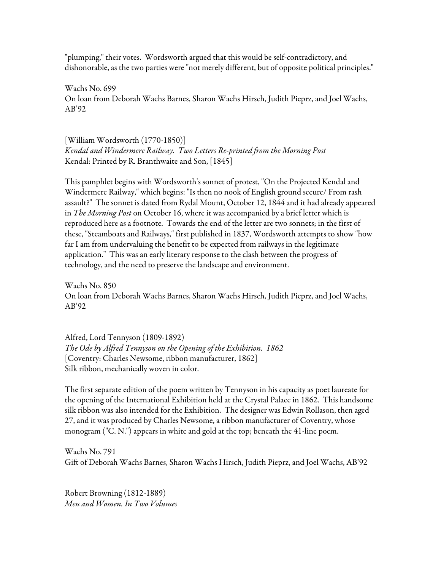"plumping," their votes. Wordsworth argued that this would be self-contradictory, and dishonorable, as the two parties were "not merely different, but of opposite political principles."

Wachs No. 699 On loan from Deborah Wachs Barnes, Sharon Wachs Hirsch, Judith Pieprz, and Joel Wachs, AB'92

[William Wordsworth (1770-1850)] *Kendal and Windermere Railway. Two Letters Re-printed from the Morning Post* Kendal: Printed by R. Branthwaite and Son, [1845]

This pamphlet begins with Wordsworth's sonnet of protest, "On the Projected Kendal and Windermere Railway," which begins: "Is then no nook of English ground secure/ From rash assault?" The sonnet is dated from Rydal Mount, October 12, 1844 and it had already appeared in *The Morning Post* on October 16, where it was accompanied by a brief letter which is reproduced here as a footnote. Towards the end of the letter are two sonnets; in the first of these, "Steamboats and Railways," first published in 1837, Wordsworth attempts to show "how far I am from undervaluing the benefit to be expected from railways in the legitimate application." This was an early literary response to the clash between the progress of technology, and the need to preserve the landscape and environment.

Wachs No. 850 On loan from Deborah Wachs Barnes, Sharon Wachs Hirsch, Judith Pieprz, and Joel Wachs, AB'92

Alfred, Lord Tennyson (1809-1892) *The Ode by Alfred Tennyson on the Opening of the Exhibition. 1862* [Coventry: Charles Newsome, ribbon manufacturer, 1862] Silk ribbon, mechanically woven in color.

The first separate edition of the poem written by Tennyson in his capacity as poet laureate for the opening of the International Exhibition held at the Crystal Palace in 1862. This handsome silk ribbon was also intended for the Exhibition. The designer was Edwin Rollason, then aged 27, and it was produced by Charles Newsome, a ribbon manufacturer of Coventry, whose monogram ("C. N.") appears in white and gold at the top; beneath the 41-line poem.

Wachs No. 791 Gift of Deborah Wachs Barnes, Sharon Wachs Hirsch, Judith Pieprz, and Joel Wachs, AB'92

Robert Browning (1812-1889) *Men and Women. In Two Volumes*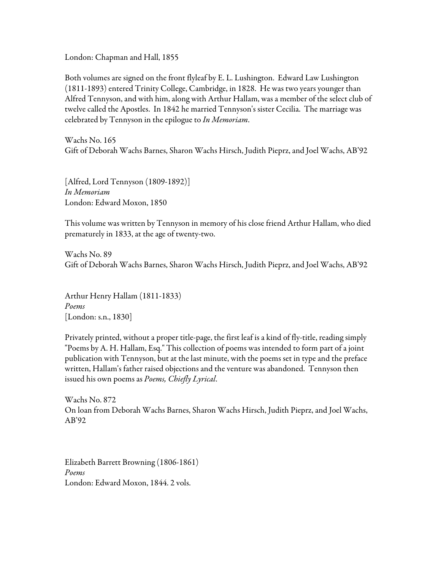London: Chapman and Hall, 1855

Both volumes are signed on the front flyleaf by E. L. Lushington. Edward Law Lushington (1811-1893) entered Trinity College, Cambridge, in 1828. He was two years younger than Alfred Tennyson, and with him, along with Arthur Hallam, was a member of the select club of twelve called the Apostles. In 1842 he married Tennyson's sister Cecilia. The marriage was celebrated by Tennyson in the epilogue to *In Memoriam*.

Wachs No. 165 Gift of Deborah Wachs Barnes, Sharon Wachs Hirsch, Judith Pieprz, and Joel Wachs, AB'92

[Alfred, Lord Tennyson (1809-1892)] *In Memoriam* London: Edward Moxon, 1850

This volume was written by Tennyson in memory of his close friend Arthur Hallam, who died prematurely in 1833, at the age of twenty-two.

Wachs No. 89 Gift of Deborah Wachs Barnes, Sharon Wachs Hirsch, Judith Pieprz, and Joel Wachs, AB'92

Arthur Henry Hallam (1811-1833) *Poems* [London: s.n., 1830]

Privately printed, without a proper title-page, the first leaf is a kind of fly-title, reading simply "Poems by A. H. Hallam, Esq." This collection of poems was intended to form part of a joint publication with Tennyson, but at the last minute, with the poems set in type and the preface written, Hallam's father raised objections and the venture was abandoned. Tennyson then issued his own poems as *Poems, Chiefly Lyrical*.

Wachs No. 872 On loan from Deborah Wachs Barnes, Sharon Wachs Hirsch, Judith Pieprz, and Joel Wachs, AB'92

Elizabeth Barrett Browning (1806-1861) *Poems* London: Edward Moxon, 1844. 2 vols.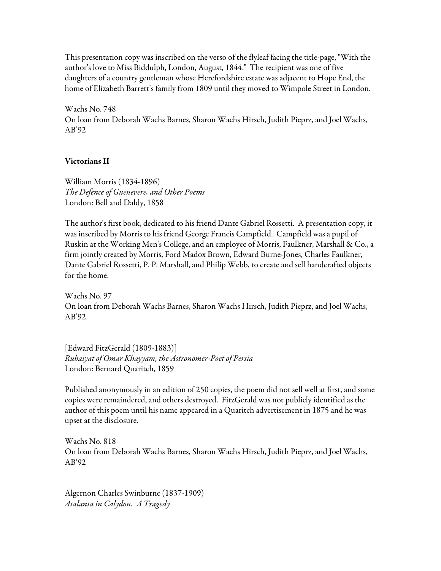This presentation copy was inscribed on the verso of the flyleaf facing the title-page, "With the author's love to Miss Biddulph, London, August, 1844." The recipient was one of five daughters of a country gentleman whose Herefordshire estate was adjacent to Hope End, the home of Elizabeth Barrett's family from 1809 until they moved to Wimpole Street in London.

Wachs No. 748 On loan from Deborah Wachs Barnes, Sharon Wachs Hirsch, Judith Pieprz, and Joel Wachs, AB'92

## Victorians II

William Morris (1834-1896) *The Defence of Guenevere, and Other Poems* London: Bell and Daldy, 1858

The author's first book, dedicated to his friend Dante Gabriel Rossetti. A presentation copy, it was inscribed by Morris to his friend George Francis Campfield. Campfield was a pupil of Ruskin at the Working Men's College, and an employee of Morris, Faulkner, Marshall & Co., a firm jointly created by Morris, Ford Madox Brown, Edward Burne-Jones, Charles Faulkner, Dante Gabriel Rossetti, P. P. Marshall, and Philip Webb, to create and sell handcrafted objects for the home.

Wachs No. 97 On loan from Deborah Wachs Barnes, Sharon Wachs Hirsch, Judith Pieprz, and Joel Wachs, AB'92

[Edward FitzGerald (1809-1883)] *Rubaiyat of Omar Khayyam, the Astronomer-Poet of Persia* London: Bernard Quaritch, 1859

Published anonymously in an edition of 250 copies, the poem did not sell well at first, and some copies were remaindered, and others destroyed. FitzGerald was not publicly identified as the author of this poem until his name appeared in a Quaritch advertisement in 1875 and he was upset at the disclosure.

Wachs No. 818 On loan from Deborah Wachs Barnes, Sharon Wachs Hirsch, Judith Pieprz, and Joel Wachs, AB'92

Algernon Charles Swinburne (1837-1909) *Atalanta in Calydon. A Tragedy*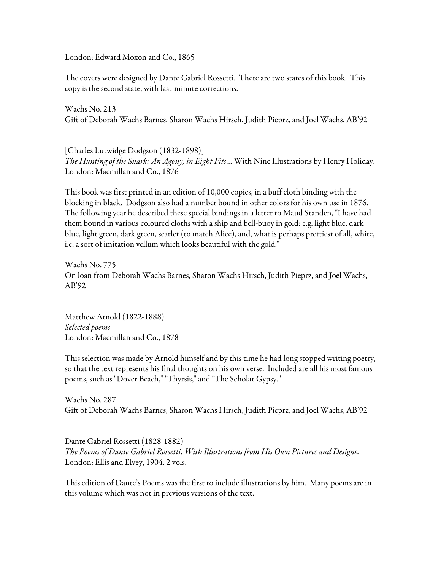London: Edward Moxon and Co., 1865

The covers were designed by Dante Gabriel Rossetti. There are two states of this book. This copy is the second state, with last-minute corrections.

Wachs No. 213 Gift of Deborah Wachs Barnes, Sharon Wachs Hirsch, Judith Pieprz, and Joel Wachs, AB'92

[Charles Lutwidge Dodgson (1832-1898)] *The Hunting of the Snark: An Agony, in Eight Fits*… With Nine Illustrations by Henry Holiday. London: Macmillan and Co., 1876

This book was first printed in an edition of 10,000 copies, in a buff cloth binding with the blocking in black. Dodgson also had a number bound in other colors for his own use in 1876. The following year he described these special bindings in a letter to Maud Standen, "I have had them bound in various coloured cloths with a ship and bell-buoy in gold: e.g. light blue, dark blue, light green, dark green, scarlet (to match Alice), and, what is perhaps prettiest of all, white, i.e. a sort of imitation vellum which looks beautiful with the gold."

Wachs No. 775 On loan from Deborah Wachs Barnes, Sharon Wachs Hirsch, Judith Pieprz, and Joel Wachs, AB'92

Matthew Arnold (1822-1888) *Selected poems* London: Macmillan and Co., 1878

This selection was made by Arnold himself and by this time he had long stopped writing poetry, so that the text represents his final thoughts on his own verse. Included are all his most famous poems, such as "Dover Beach," "Thyrsis," and "The Scholar Gypsy."

Wachs No. 287 Gift of Deborah Wachs Barnes, Sharon Wachs Hirsch, Judith Pieprz, and Joel Wachs, AB'92

Dante Gabriel Rossetti (1828-1882) *The Poems of Dante Gabriel Rossetti: With Illustrations from His Own Pictures and Designs*. London: Ellis and Elvey, 1904. 2 vols.

This edition of Dante's Poems was the first to include illustrations by him. Many poems are in this volume which was not in previous versions of the text.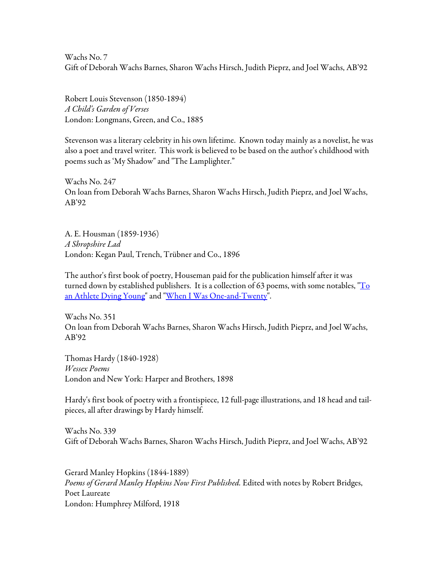Wachs No. 7 Gift of Deborah Wachs Barnes, Sharon Wachs Hirsch, Judith Pieprz, and Joel Wachs, AB'92

Robert Louis Stevenson (1850-1894) *A Child's Garden of Verses* London: Longmans, Green, and Co., 1885

Stevenson was a literary celebrity in his own lifetime. Known today mainly as a novelist, he was also a poet and travel writer. This work is believed to be based on the author's childhood with poems such as 'My Shadow" and "The Lamplighter."

Wachs No. 247 On loan from Deborah Wachs Barnes, Sharon Wachs Hirsch, Judith Pieprz, and Joel Wachs, AB'92

A. E. Housman (1859-1936) *A Shropshire Lad* London: Kegan Paul, Trench, Trübner and Co., 1896

The author's first book of poetry, Houseman paid for the publication himself after it was turned down by established publishers. It is a collection of 63 poems, with some notables,  $T_0$ an Athlete Dying Young" and "When I Was One-and-Twenty".

Wachs No. 351 On loan from Deborah Wachs Barnes, Sharon Wachs Hirsch, Judith Pieprz, and Joel Wachs, AB'92

Thomas Hardy (1840-1928) *Wessex Poems* London and New York: Harper and Brothers, 1898

Hardy's first book of poetry with a frontispiece, 12 full-page illustrations, and 18 head and tailpieces, all after drawings by Hardy himself.

Wachs No. 339 Gift of Deborah Wachs Barnes, Sharon Wachs Hirsch, Judith Pieprz, and Joel Wachs, AB'92

Gerard Manley Hopkins (1844-1889) *Poems of Gerard Manley Hopkins Now First Published.* Edited with notes by Robert Bridges, Poet Laureate London: Humphrey Milford, 1918